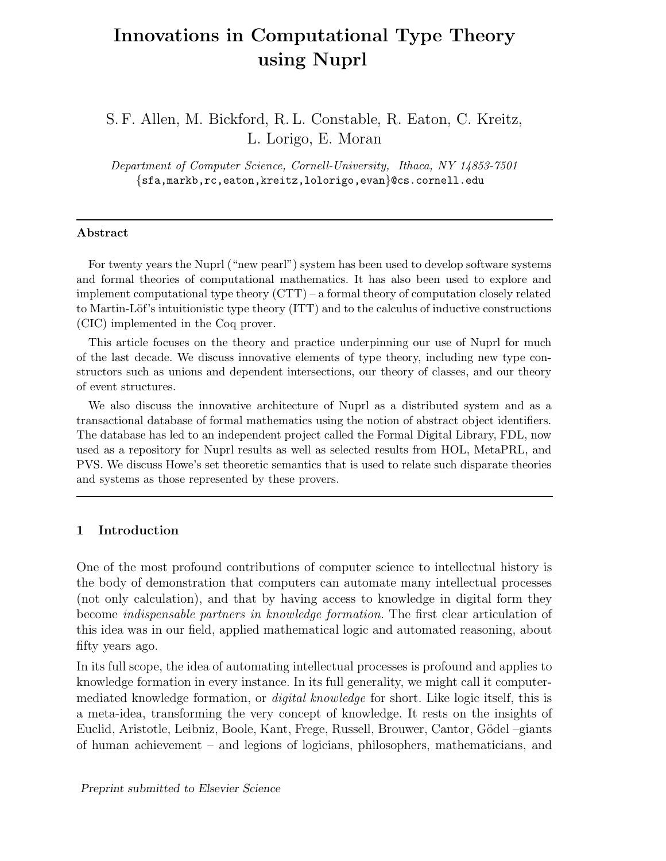# <span id="page-0-0"></span>Innovations in Computational Type Theory using Nuprl

# S. F. Allen, M. Bickford, R. L. Constable, R. Eaton, C. Kreitz, L. Lorigo, E. Moran

Department of Computer Science, Cornell-University, Ithaca, NY 14853-7501 {sfa,markb,rc,eaton,kreitz,lolorigo,evan}@cs.cornell.edu

#### Abstract

For twenty years the Nuprl ("new pearl") system has been used to develop software systems and formal theories of computational mathematics. It has also been used to explore and implement computational type theory (CTT) – a formal theory of computation closely related to Martin-Löf's intuitionistic type theory  $(ITT)$  and to the calculus of inductive constructions (CIC) implemented in the Coq prover.

This article focuses on the theory and practice underpinning our use of Nuprl for much of the last decade. We discuss innovative elements of type theory, including new type constructors such as unions and dependent intersections, our theory of classes, and our theory of event structures.

We also discuss the innovative architecture of Nuprl as a distributed system and as a transactional database of formal mathematics using the notion of abstract object identifiers. The database has led to an independent project called the Formal Digital Library, FDL, now used as a repository for Nuprl results as well as selected results from HOL, MetaPRL, and PVS. We discuss Howe's set theoretic semantics that is used to relate such disparate theories and systems as those represented by these provers.

#### 1 Introduction

One of the most profound contributions of computer science to intellectual history is the body of demonstration that computers can automate many intellectual processes (not only calculation), and that by having access to knowledge in digital form they become indispensable partners in knowledge formation. The first clear articulation of this idea was in our field, applied mathematical logic and automated reasoning, about fifty years ago.

In its full scope, the idea of automating intellectual processes is profound and applies to knowledge formation in every instance. In its full generality, we might call it computermediated knowledge formation, or digital knowledge for short. Like logic itself, this is a meta-idea, transforming the very concept of knowledge. It rests on the insights of Euclid, Aristotle, Leibniz, Boole, Kant, Frege, Russell, Brouwer, Cantor, Gödel –giants of human achievement – and legions of logicians, philosophers, mathematicians, and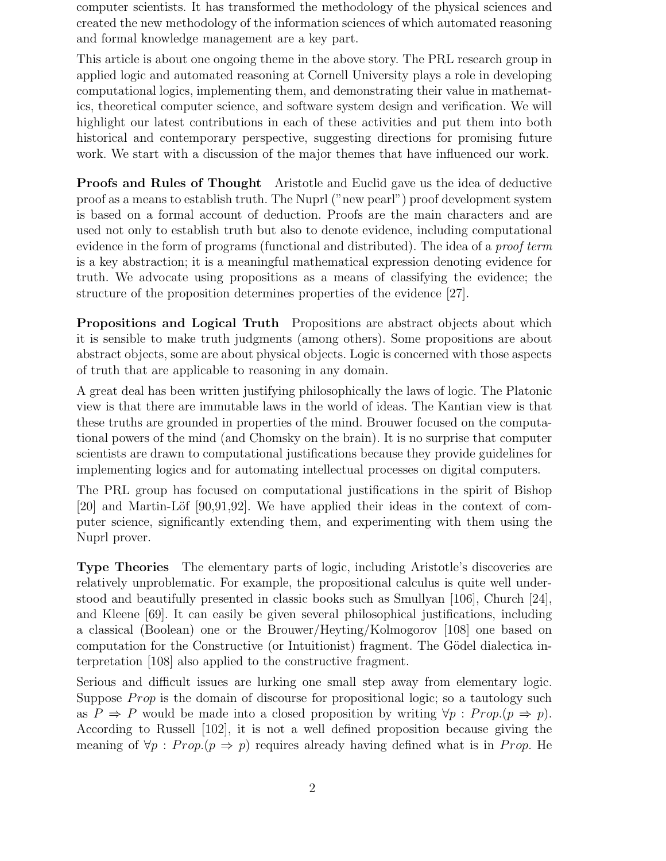computer scientists. It has transformed the methodology of the physical sciences and created the new methodology of the information sciences of which automated reasoning and formal knowledge management are a key part.

This article is about one ongoing theme in the above story. The PRL research group in applied logic and automated reasoning at Cornell University plays a role in developing computational logics, implementing them, and demonstrating their value in mathematics, theoretical computer science, and software system design and verification. We will highlight our latest contributions in each of these activities and put them into both historical and contemporary perspective, suggesting directions for promising future work. We start with a discussion of the major themes that have influenced our work.

**Proofs and Rules of Thought** Aristotle and Euclid gave us the idea of deductive proof as a means to establish truth. The Nuprl ("new pearl") proof development system is based on a formal account of deduction. Proofs are the main characters and are used not only to establish truth but also to denote evidence, including computational evidence in the form of programs (functional and distributed). The idea of a *proof term* is a key abstraction; it is a meaningful mathematical expression denoting evidence for truth. We advocate using propositions as a means of classifying the evidence; the structure of the proposition determines properties of the evidence [27].

Propositions and Logical Truth Propositions are abstract objects about which it is sensible to make truth judgments (among others). Some propositions are about abstract objects, some are about physical objects. Logic is concerned with those aspects of truth that are applicable to reasoning in any domain.

A great deal has been written justifying philosophically the laws of logic. The Platonic view is that there are immutable laws in the world of ideas. The Kantian view is that these truths are grounded in properties of the mind. Brouwer focused on the computational powers of the mind (and Chomsky on the brain). It is no surprise that computer scientists are drawn to computational justifications because they provide guidelines for implementing logics and for automating intellectual processes on digital computers.

The PRL group has focused on computational justifications in the spirit of Bishop  $[20]$  and Martin-Löf  $[90, 91, 92]$ . We have applied their ideas in the context of computer science, significantly extending them, and experimenting with them using the Nuprl prover.

Type Theories The elementary parts of logic, including Aristotle's discoveries are relatively unproblematic. For example, the propositional calculus is quite well understood and beautifully presented in classic books such as Smullyan [106], Church [24], and Kleene [69]. It can easily be given several philosophical justifications, including a classical (Boolean) one or the Brouwer/Heyting/Kolmogorov [108] one based on computation for the Constructive (or Intuitionist) fragment. The Gödel dialectica interpretation [108] also applied to the constructive fragment.

Serious and difficult issues are lurking one small step away from elementary logic. Suppose *Prop* is the domain of discourse for propositional logic; so a tautology such as  $P \Rightarrow P$  would be made into a closed proposition by writing  $\forall p : Prop. (p \Rightarrow p)$ . According to Russell [102], it is not a well defined proposition because giving the meaning of  $\forall p : Prop. (p \Rightarrow p)$  requires already having defined what is in *Prop.* He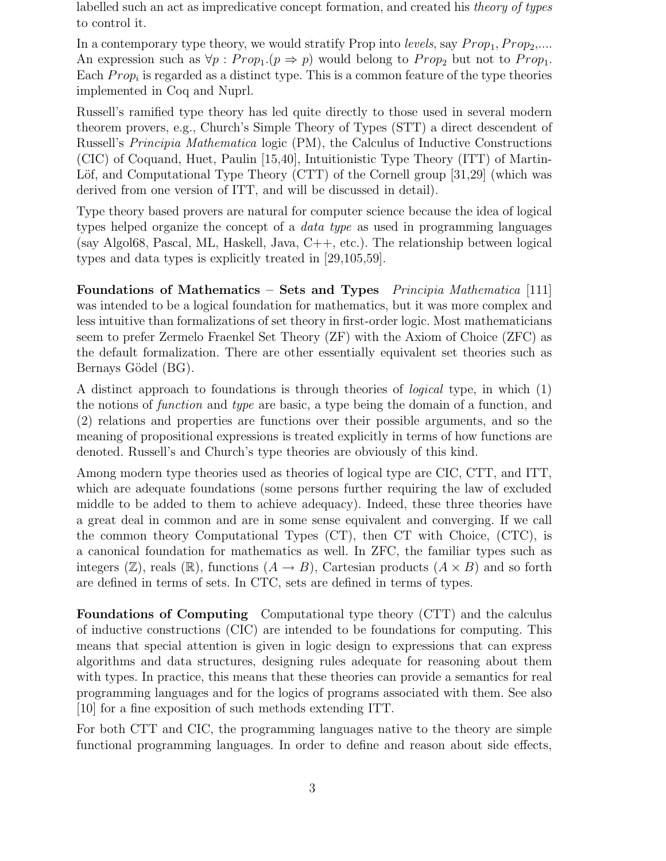labelled such an act as impredicative concept formation, and created his theory of types to control it.

In a contemporary type theory, we would stratify Prop into levels, say  $Prop_1, Prop_2, \ldots$ An expression such as  $\forall p : Prop_1.(p \Rightarrow p)$  would belong to  $Prop_2$  but not to  $Prop_1$ . Each  $Prop_i$  is regarded as a distinct type. This is a common feature of the type theories implemented in Coq and Nuprl.

Russell's ramified type theory has led quite directly to those used in several modern theorem provers, e.g., Church's Simple Theory of Types (STT) a direct descendent of Russell's Principia Mathematica logic (PM), the Calculus of Inductive Constructions (CIC) of Coquand, Huet, Paulin [15,40], Intuitionistic Type Theory (ITT) of Martin-Löf, and Computational Type Theory (CTT) of the Cornell group  $[31,29]$  (which was derived from one version of ITT, and will be discussed in detail).

Type theory based provers are natural for computer science because the idea of logical types helped organize the concept of a data type as used in programming languages (say Algol68, Pascal, ML, Haskell, Java, C++, etc.). The relationship between logical types and data types is explicitly treated in [29,105,59].

Foundations of Mathematics – Sets and Types Principia Mathematica [111] was intended to be a logical foundation for mathematics, but it was more complex and less intuitive than formalizations of set theory in first-order logic. Most mathematicians seem to prefer Zermelo Fraenkel Set Theory (ZF) with the Axiom of Choice (ZFC) as the default formalization. There are other essentially equivalent set theories such as Bernays Gödel (BG).

A distinct approach to foundations is through theories of logical type, in which (1) the notions of function and type are basic, a type being the domain of a function, and (2) relations and properties are functions over their possible arguments, and so the meaning of propositional expressions is treated explicitly in terms of how functions are denoted. Russell's and Church's type theories are obviously of this kind.

Among modern type theories used as theories of logical type are CIC, CTT, and ITT, which are adequate foundations (some persons further requiring the law of excluded middle to be added to them to achieve adequacy). Indeed, these three theories have a great deal in common and are in some sense equivalent and converging. If we call the common theory Computational Types (CT), then CT with Choice, (CTC), is a canonical foundation for mathematics as well. In ZFC, the familiar types such as integers ( $\mathbb{Z}$ ), reals ( $\mathbb{R}$ ), functions ( $A \rightarrow B$ ), Cartesian products ( $A \times B$ ) and so forth are defined in terms of sets. In CTC, sets are defined in terms of types.

Foundations of Computing Computational type theory (CTT) and the calculus of inductive constructions (CIC) are intended to be foundations for computing. This means that special attention is given in logic design to expressions that can express algorithms and data structures, designing rules adequate for reasoning about them with types. In practice, this means that these theories can provide a semantics for real programming languages and for the logics of programs associated with them. See also [10] for a fine exposition of such methods extending ITT.

For both CTT and CIC, the programming languages native to the theory are simple functional programming languages. In order to define and reason about side effects,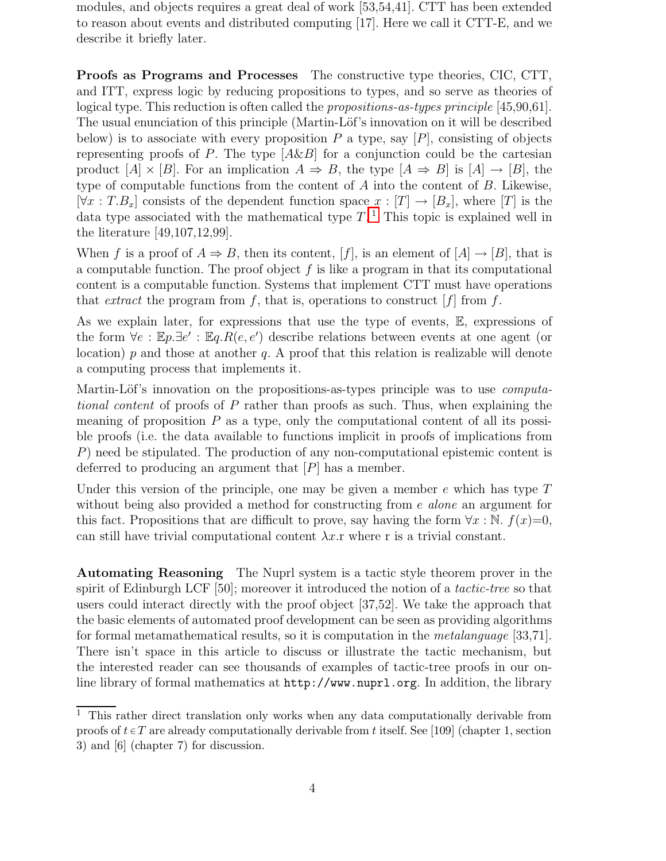modules, and objects requires a great deal of work [53,54,41]. CTT has been extended to reason about events and distributed computing [17]. Here we call it CTT-E, and we describe it briefly later.

Proofs as Programs and Processes The constructive type theories, CIC, CTT, and ITT, express logic by reducing propositions to types, and so serve as theories of logical type. This reduction is often called the *propositions-as-types principle* [45,90,61]. The usual enunciation of this principle (Martin-Löf's innovation on it will be described below) is to associate with every proposition  $P$  a type, say  $[P]$ , consisting of objects representing proofs of P. The type  $[A\&B]$  for a conjunction could be the cartesian product  $[A] \times [B]$ . For an implication  $A \Rightarrow B$ , the type  $[A \Rightarrow B]$  is  $[A] \rightarrow [B]$ , the type of computable functions from the content of A into the content of B. Likewise,  $[\forall x : T.B_x]$  consists of the dependent function space  $x : [T] \rightarrow [B_x]$ , where  $[T]$  is the data type associated with the mathematical type  $T<sup>1</sup>$  $T<sup>1</sup>$  $T<sup>1</sup>$ . This topic is explained well in the literature [49,107,12,99].

When f is a proof of  $A \Rightarrow B$ , then its content, [f], is an element of  $[A] \rightarrow [B]$ , that is a computable function. The proof object  $f$  is like a program in that its computational content is a computable function. Systems that implement CTT must have operations that extract the program from f, that is, operations to construct  $[f]$  from f.

As we explain later, for expressions that use the type of events, E, expressions of the form  $\forall e : \mathbb{E}p \exists e' : \mathbb{E}q \cdot R(e, e')$  describe relations between events at one agent (or location)  $p$  and those at another  $q$ . A proof that this relation is realizable will denote a computing process that implements it.

Martin-Löf's innovation on the propositions-as-types principle was to use *computa*tional content of proofs of P rather than proofs as such. Thus, when explaining the meaning of proposition  $P$  as a type, only the computational content of all its possible proofs (i.e. the data available to functions implicit in proofs of implications from P) need be stipulated. The production of any non-computational epistemic content is deferred to producing an argument that  $[P]$  has a member.

Under this version of the principle, one may be given a member  $e$  which has type  $T$ without being also provided a method for constructing from e alone an argument for this fact. Propositions that are difficult to prove, say having the form  $\forall x : \mathbb{N}$ .  $f(x)=0$ , can still have trivial computational content  $\lambda x$ .r where r is a trivial constant.

Automating Reasoning The Nuprl system is a tactic style theorem prover in the spirit of Edinburgh LCF [50]; moreover it introduced the notion of a tactic-tree so that users could interact directly with the proof object [37,52]. We take the approach that the basic elements of automated proof development can be seen as providing algorithms for formal metamathematical results, so it is computation in the metalanguage [33,71]. There isn't space in this article to discuss or illustrate the tactic mechanism, but the interested reader can see thousands of examples of tactic-tree proofs in our online library of formal mathematics at http://www.nuprl.org. In addition, the library

<span id="page-3-0"></span><sup>&</sup>lt;sup>1</sup> This rather direct translation only works when any data computationally derivable from proofs of  $t \in T$  are already computationally derivable from t itself. See [109] (chapter 1, section 3) and [6] (chapter 7) for discussion.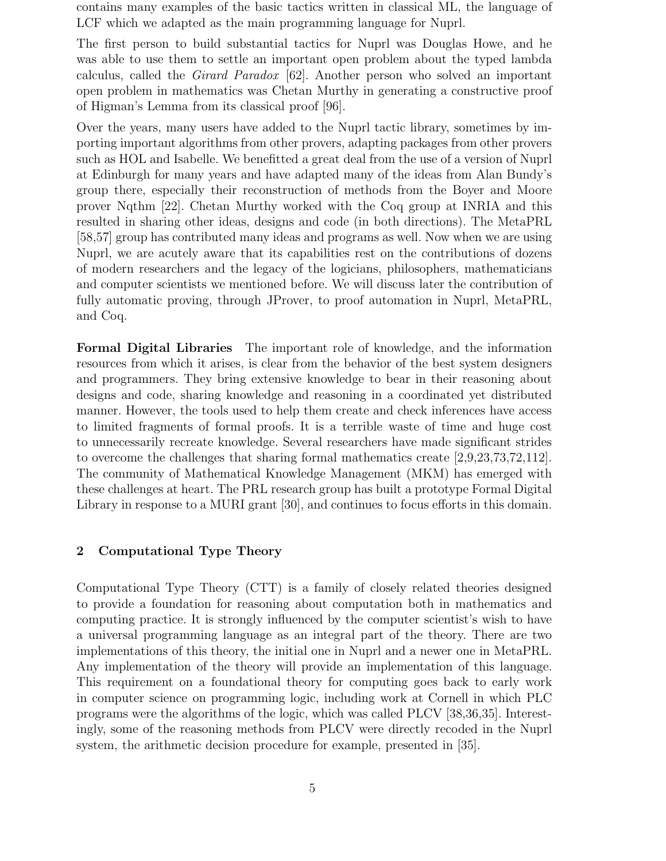contains many examples of the basic tactics written in classical ML, the language of LCF which we adapted as the main programming language for Nuprl.

The first person to build substantial tactics for Nuprl was Douglas Howe, and he was able to use them to settle an important open problem about the typed lambda calculus, called the Girard Paradox [62]. Another person who solved an important open problem in mathematics was Chetan Murthy in generating a constructive proof of Higman's Lemma from its classical proof [96].

Over the years, many users have added to the Nuprl tactic library, sometimes by importing important algorithms from other provers, adapting packages from other provers such as HOL and Isabelle. We benefitted a great deal from the use of a version of Nuprl at Edinburgh for many years and have adapted many of the ideas from Alan Bundy's group there, especially their reconstruction of methods from the Boyer and Moore prover Nqthm [22]. Chetan Murthy worked with the Coq group at INRIA and this resulted in sharing other ideas, designs and code (in both directions). The MetaPRL [58,57] group has contributed many ideas and programs as well. Now when we are using Nuprl, we are acutely aware that its capabilities rest on the contributions of dozens of modern researchers and the legacy of the logicians, philosophers, mathematicians and computer scientists we mentioned before. We will discuss later the contribution of fully automatic proving, through JProver, to proof automation in Nuprl, MetaPRL, and Coq.

Formal Digital Libraries The important role of knowledge, and the information resources from which it arises, is clear from the behavior of the best system designers and programmers. They bring extensive knowledge to bear in their reasoning about designs and code, sharing knowledge and reasoning in a coordinated yet distributed manner. However, the tools used to help them create and check inferences have access to limited fragments of formal proofs. It is a terrible waste of time and huge cost to unnecessarily recreate knowledge. Several researchers have made significant strides to overcome the challenges that sharing formal mathematics create [2,9,23,73,72,112]. The community of Mathematical Knowledge Management (MKM) has emerged with these challenges at heart. The PRL research group has built a prototype Formal Digital Library in response to a MURI grant [30], and continues to focus efforts in this domain.

### 2 Computational Type Theory

Computational Type Theory (CTT) is a family of closely related theories designed to provide a foundation for reasoning about computation both in mathematics and computing practice. It is strongly influenced by the computer scientist's wish to have a universal programming language as an integral part of the theory. There are two implementations of this theory, the initial one in Nuprl and a newer one in MetaPRL. Any implementation of the theory will provide an implementation of this language. This requirement on a foundational theory for computing goes back to early work in computer science on programming logic, including work at Cornell in which PLC programs were the algorithms of the logic, which was called PLCV [38,36,35]. Interestingly, some of the reasoning methods from PLCV were directly recoded in the Nuprl system, the arithmetic decision procedure for example, presented in [35].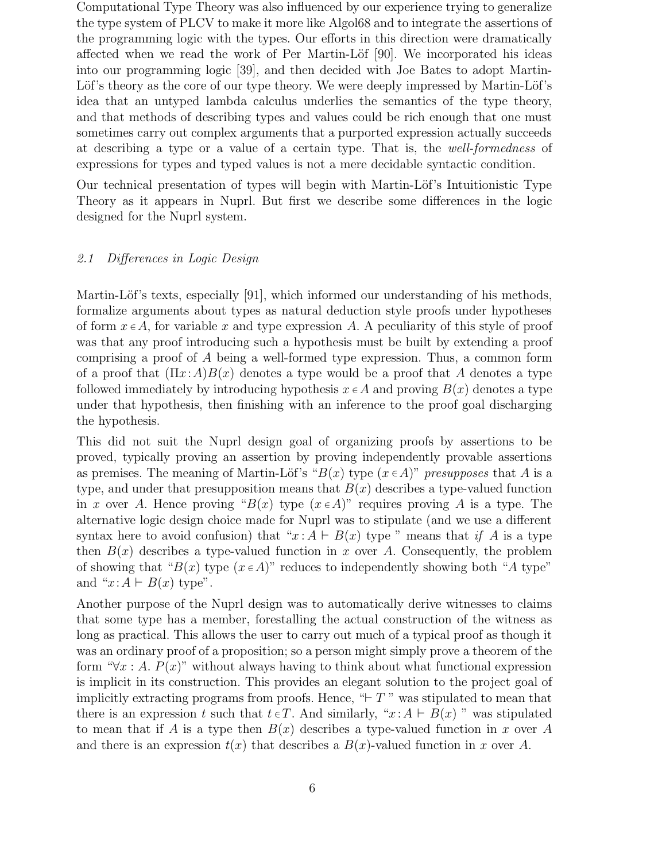Computational Type Theory was also influenced by our experience trying to generalize the type system of PLCV to make it more like Algol68 and to integrate the assertions of the programming logic with the types. Our efforts in this direction were dramatically affected when we read the work of Per Martin-Löf  $[90]$ . We incorporated his ideas into our programming logic [39], and then decided with Joe Bates to adopt Martin-Löf's theory as the core of our type theory. We were deeply impressed by Martin-Löf's idea that an untyped lambda calculus underlies the semantics of the type theory, and that methods of describing types and values could be rich enough that one must sometimes carry out complex arguments that a purported expression actually succeeds at describing a type or a value of a certain type. That is, the well-formedness of expressions for types and typed values is not a mere decidable syntactic condition.

Our technical presentation of types will begin with Martin-Löf's Intuitionistic Type Theory as it appears in Nuprl. But first we describe some differences in the logic designed for the Nuprl system.

#### 2.1 Differences in Logic Design

Martin-Löf's texts, especially  $[91]$ , which informed our understanding of his methods, formalize arguments about types as natural deduction style proofs under hypotheses of form  $x \in A$ , for variable x and type expression A. A peculiarity of this style of proof was that any proof introducing such a hypothesis must be built by extending a proof comprising a proof of A being a well-formed type expression. Thus, a common form of a proof that  $(\Pi x:A)B(x)$  denotes a type would be a proof that A denotes a type followed immediately by introducing hypothesis  $x \in A$  and proving  $B(x)$  denotes a type under that hypothesis, then finishing with an inference to the proof goal discharging the hypothesis.

This did not suit the Nuprl design goal of organizing proofs by assertions to be proved, typically proving an assertion by proving independently provable assertions as premises. The meaning of Martin-Löf's " $B(x)$  type  $(x \in A)$ " presupposes that A is a type, and under that presupposition means that  $B(x)$  describes a type-valued function in x over A. Hence proving " $B(x)$  type  $(x \in A)$ " requires proving A is a type. The alternative logic design choice made for Nuprl was to stipulate (and we use a different syntax here to avoid confusion) that " $x : A \vdash B(x)$  type " means that if A is a type then  $B(x)$  describes a type-valued function in x over A. Consequently, the problem of showing that " $B(x)$  type  $(x \in A)$ " reduces to independently showing both "A type" and " $x:A \vdash B(x)$  type".

Another purpose of the Nuprl design was to automatically derive witnesses to claims that some type has a member, forestalling the actual construction of the witness as long as practical. This allows the user to carry out much of a typical proof as though it was an ordinary proof of a proposition; so a person might simply prove a theorem of the form " $\forall x : A. P(x)$ " without always having to think about what functional expression is implicit in its construction. This provides an elegant solution to the project goal of implicitly extracting programs from proofs. Hence,  $\mathcal{F}$   $T$  " was stipulated to mean that there is an expression t such that  $t \in T$ . And similarly, " $x : A \vdash B(x)$ " was stipulated to mean that if A is a type then  $B(x)$  describes a type-valued function in x over A and there is an expression  $t(x)$  that describes a  $B(x)$ -valued function in x over A.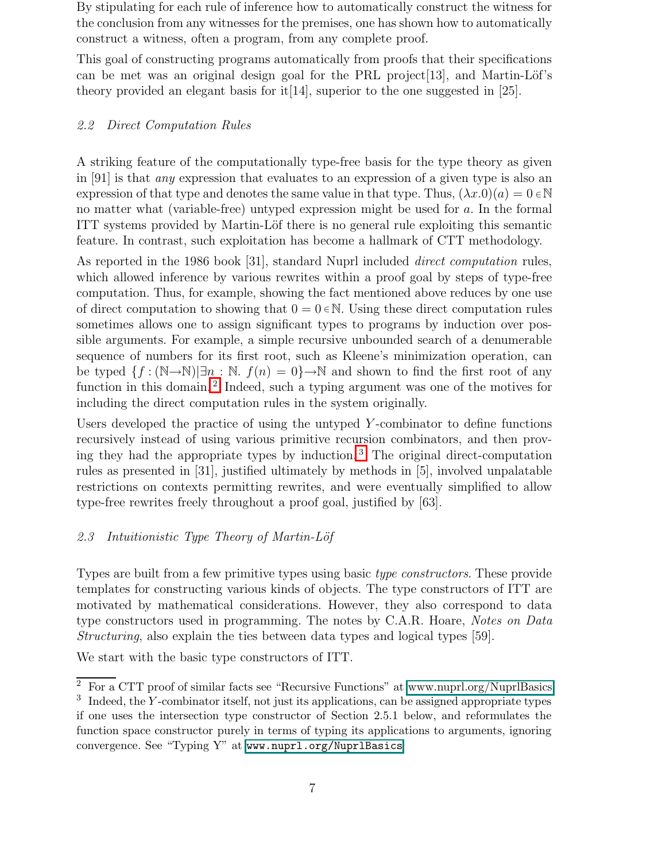By stipulating for each rule of inference how to automatically construct the witness for the conclusion from any witnesses for the premises, one has shown how to automatically construct a witness, often a program, from any complete proof.

This goal of constructing programs automatically from proofs that their specifications can be met was an original design goal for the PRL project [13], and Martin-Löf's theory provided an elegant basis for it  $[14]$ , superior to the one suggested in [25].

## 2.2 Direct Computation Rules

A striking feature of the computationally type-free basis for the type theory as given in [91] is that any expression that evaluates to an expression of a given type is also an expression of that type and denotes the same value in that type. Thus,  $(\lambda x.0)(a) = 0 \in \mathbb{N}$ no matter what (variable-free) untyped expression might be used for a. In the formal ITT systems provided by Martin-Löf there is no general rule exploiting this semantic feature. In contrast, such exploitation has become a hallmark of CTT methodology.

As reported in the 1986 book [31], standard Nuprl included direct computation rules, which allowed inference by various rewrites within a proof goal by steps of type-free computation. Thus, for example, showing the fact mentioned above reduces by one use of direct computation to showing that  $0 = 0 \in \mathbb{N}$ . Using these direct computation rules sometimes allows one to assign significant types to programs by induction over possible arguments. For example, a simple recursive unbounded search of a denumerable sequence of numbers for its first root, such as Kleene's minimization operation, can be typed  $\{f : (\mathbb{N} \to \mathbb{N}) \mid \exists n : \mathbb{N}$ .  $f(n) = 0\} \to \mathbb{N}$  and shown to find the first root of any function in this domain.<sup>[2](#page-6-0)</sup> Indeed, such a typing argument was one of the motives for including the direct computation rules in the system originally.

Users developed the practice of using the untyped Y -combinator to define functions recursively instead of using various primitive recursion combinators, and then prov-ing they had the appropriate types by induction.<sup>[3](#page-6-1)</sup> The original direct-computation rules as presented in [31], justified ultimately by methods in [5], involved unpalatable restrictions on contexts permitting rewrites, and were eventually simplified to allow type-free rewrites freely throughout a proof goal, justified by [63].

# 2.3 Intuitionistic Type Theory of Martin-Löf

Types are built from a few primitive types using basic type constructors. These provide templates for constructing various kinds of objects. The type constructors of ITT are motivated by mathematical considerations. However, they also correspond to data type constructors used in programming. The notes by C.A.R. Hoare, Notes on Data Structuring, also explain the ties between data types and logical types [59].

We start with the basic type constructors of ITT.

<span id="page-6-1"></span><span id="page-6-0"></span> $\overline{2 \text{ For a CTT}}$  proof of similar facts see "Recursive Functions" at [www.nuprl.org/NuprlBasics](#page-0-0) <sup>3</sup> Indeed, the Y-combinator itself, not just its applications, can be assigned appropriate types if one uses the intersection type constructor of Section 2.5.1 below, and reformulates the function space constructor purely in terms of typing its applications to arguments, ignoring convergence. See "Typing Y" at [www.nuprl.org/NuprlBasics](#page-0-0)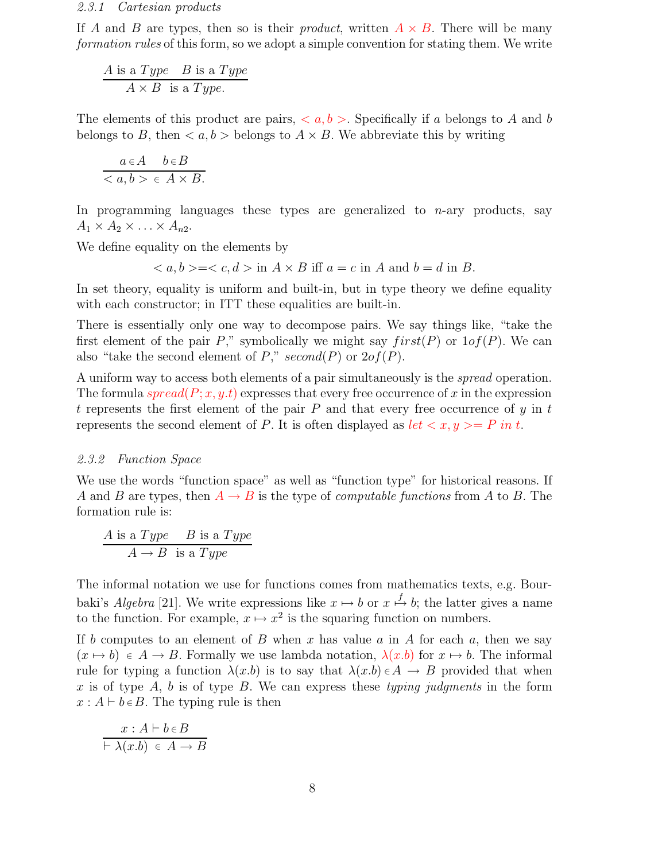#### 2.3.1 Cartesian products

If A and B are types, then so is their *product*, written  $A \times B$ . There will be many formation rules of this form, so we adopt a simple convention for stating them. We write

$$
\frac{A \text{ is a Type } B \text{ is a Type}}{A \times B \text{ is a Type}}.
$$

The elements of this product are pairs,  $\langle a, b \rangle$ . Specifically if a belongs to A and b belongs to B, then  $\langle a, b \rangle$  belongs to  $A \times B$ . We abbreviate this by writing

$$
\frac{a \in A \quad b \in B}{\langle a, b \rangle \in A \times B}.
$$

In programming languages these types are generalized to  $n$ -ary products, say  $A_1 \times A_2 \times \ldots \times A_{n2}$ .

We define equality on the elements by

$$
\langle a, b \rangle = \langle c, d \rangle \text{ in } A \times B \text{ iff } a = c \text{ in } A \text{ and } b = d \text{ in } B.
$$

In set theory, equality is uniform and built-in, but in type theory we define equality with each constructor; in ITT these equalities are built-in.

There is essentially only one way to decompose pairs. We say things like, "take the first element of the pair P," symbolically we might say  $first(P)$  or  $1of(P)$ . We can also "take the second element of P,"  $second(P)$  or  $2of(P)$ .

A uniform way to access both elements of a pair simultaneously is the spread operation. The formula  $spread(P; x, y, t)$  expresses that every free occurrence of x in the expression t represents the first element of the pair  $P$  and that every free occurrence of  $y$  in  $t$ represents the second element of P. It is often displayed as  $let < x, y> = P$  in t.

#### 2.3.2 Function Space

We use the words "function space" as well as "function type" for historical reasons. If A and B are types, then  $A \to B$  is the type of *computable functions* from A to B. The formation rule is:

$$
\frac{A \text{ is a Type } B \text{ is a Type}}{A \rightarrow B \text{ is a Type}}
$$

The informal notation we use for functions comes from mathematics texts, e.g. Bourbaki's *Algebra* [21]. We write expressions like  $x \mapsto b$  or  $x \stackrel{f}{\mapsto} b$ ; the latter gives a name to the function. For example,  $x \mapsto x^2$  is the squaring function on numbers.

If b computes to an element of B when x has value  $a$  in A for each  $a$ , then we say  $(x \mapsto b) \in A \to B$ . Formally we use lambda notation,  $\lambda(x.b)$  for  $x \mapsto b$ . The informal rule for typing a function  $\lambda(x.b)$  is to say that  $\lambda(x.b) \in A \to B$  provided that when x is of type  $A$ ,  $b$  is of type  $B$ . We can express these typing judgments in the form  $x : A \vdash b \in B$ . The typing rule is then

$$
\frac{x:A\vdash b\in B}{\vdash \lambda(x.b)\in A\to B}
$$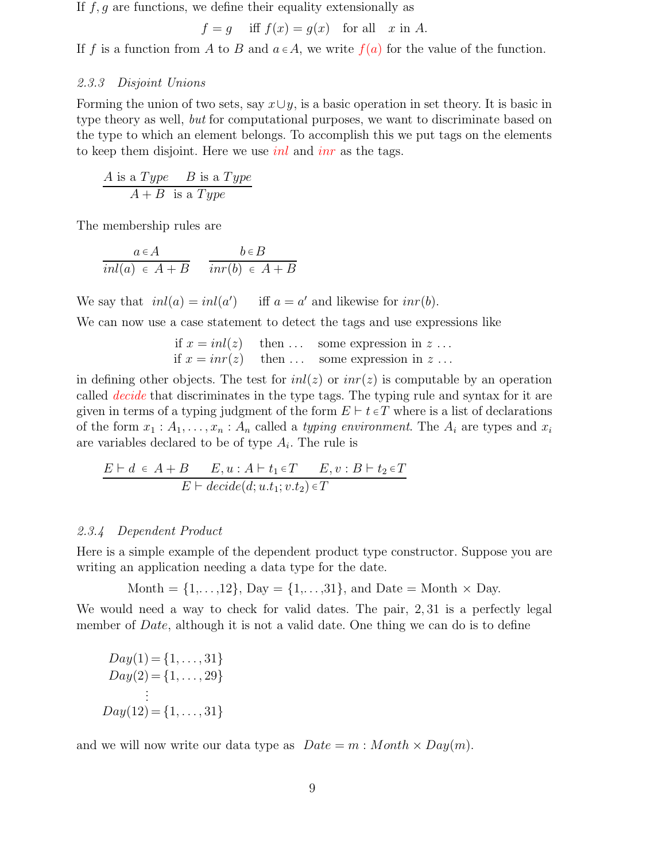If  $f, g$  are functions, we define their equality extensionally as

$$
f = g
$$
 iff  $f(x) = g(x)$  for all x in A.

If f is a function from A to B and  $a \in A$ , we write  $f(a)$  for the value of the function.

#### 2.3.3 Disjoint Unions

Forming the union of two sets, say  $x \cup y$ , is a basic operation in set theory. It is basic in type theory as well, but for computational purposes, we want to discriminate based on the type to which an element belongs. To accomplish this we put tags on the elements to keep them disjoint. Here we use *inl* and *inr* as the tags.

$$
\frac{A \text{ is a Type } B \text{ is a Type}}{A + B \text{ is a Type}}
$$

The membership rules are

$$
\frac{a \in A}{inl(a) \in A + B} \quad \frac{b \in B}{inr(b) \in A + B}
$$

We say that  $inl(a) = inl(a')$  iff  $a = a'$  and likewise for  $inr(b)$ .

We can now use a case statement to detect the tags and use expressions like

if 
$$
x = inl(z)
$$
 then ... some expression in  $z ...$   
if  $x = inr(z)$  then ... some expression in  $z ...$ 

in defining other objects. The test for  $inl(z)$  or  $inr(z)$  is computable by an operation called *decide* that discriminates in the type tags. The typing rule and syntax for it are given in terms of a typing judgment of the form  $E \vdash t \in T$  where is a list of declarations of the form  $x_1 : A_1, \ldots, x_n : A_n$  called a *typing environment*. The  $A_i$  are types and  $x_i$ are variables declared to be of type  $A_i$ . The rule is

$$
\frac{E \vdash d \in A + B \qquad E, u : A \vdash t_1 \in T \qquad E, v : B \vdash t_2 \in T}{E \vdash decide(d; u.t_1; v.t_2) \in T}
$$

#### 2.3.4 Dependent Product

Here is a simple example of the dependent product type constructor. Suppose you are writing an application needing a data type for the date.

$$
Month = \{1, \ldots, 12\}, Day = \{1, \ldots, 31\}, and Date = Month \times Day.
$$

We would need a way to check for valid dates. The pair, 2, 31 is a perfectly legal member of *Date*, although it is not a valid date. One thing we can do is to define

$$
Day(1) = \{1, ..., 31\}
$$
  
\n
$$
Day(2) = \{1, ..., 29\}
$$
  
\n
$$
\vdots
$$
  
\n
$$
Day(12) = \{1, ..., 31\}
$$

and we will now write our data type as  $Date = m : Month \times Day(m)$ .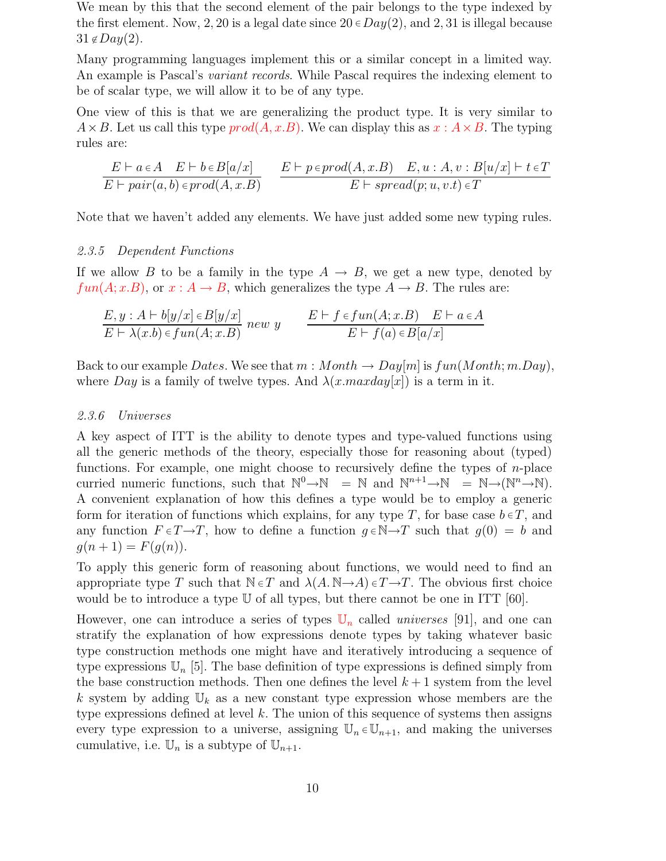We mean by this that the second element of the pair belongs to the type indexed by the first element. Now, 2, 20 is a legal date since  $20 \in Day(2)$ , and 2, 31 is illegal because  $31 \notin Day(2)$ .

Many programming languages implement this or a similar concept in a limited way. An example is Pascal's *variant records*. While Pascal requires the indexing element to be of scalar type, we will allow it to be of any type.

One view of this is that we are generalizing the product type. It is very similar to  $A \times B$ . Let us call this type  $prod(A, x.B)$ . We can display this as  $x : A \times B$ . The typing rules are:

$$
\frac{E \vdash a \in A \quad E \vdash b \in B[a/x]}{E \vdash pair(a, b) \in prod(A, x.B)} \qquad \frac{E \vdash p \in prod(A, x.B) \quad E, u : A, v : B[u/x] \vdash t \in T]}{E \vdash spread(p; u, v.t) \in T}
$$

Note that we haven't added any elements. We have just added some new typing rules.

#### 2.3.5 Dependent Functions

If we allow B to be a family in the type  $A \to B$ , we get a new type, denoted by  $fun(A; x.B)$ , or  $x : A \rightarrow B$ , which generalizes the type  $A \rightarrow B$ . The rules are:

$$
\frac{E, y : A \vdash b[y/x] \in B[y/x]}{E \vdash \lambda(x.b) \in fun(A; x.B)} \ new \ y \qquad\n\frac{E \vdash f \in fun(A; x.B)}{E \vdash f(a) \in B[a/x]}
$$

Back to our example Dates. We see that  $m: Month \rightarrow Day[m]$  is  $fun(Month; m.Day)$ , where Day is a family of twelve types. And  $\lambda(x.maxday|x|)$  is a term in it.

#### 2.3.6 Universes

A key aspect of ITT is the ability to denote types and type-valued functions using all the generic methods of the theory, especially those for reasoning about (typed) functions. For example, one might choose to recursively define the types of  $n$ -place curried numeric functions, such that  $\mathbb{N}^0 \to \mathbb{N} = \mathbb{N}$  and  $\mathbb{N}^{n+1} \to \mathbb{N} = \mathbb{N} \to (\mathbb{N}^n \to \mathbb{N})$ . A convenient explanation of how this defines a type would be to employ a generic form for iteration of functions which explains, for any type T, for base case  $b \in T$ , and any function  $F \in T \to T$ , how to define a function  $g \in \mathbb{N} \to T$  such that  $g(0) = b$  and  $g(n+1) = F(g(n)).$ 

To apply this generic form of reasoning about functions, we would need to find an appropriate type T such that  $N \in T$  and  $\lambda(A. N \rightarrow A) \in T \rightarrow T$ . The obvious first choice would be to introduce a type U of all types, but there cannot be one in ITT [60].

However, one can introduce a series of types  $\mathbb{U}_n$  called *universes* [91], and one can stratify the explanation of how expressions denote types by taking whatever basic type construction methods one might have and iteratively introducing a sequence of type expressions  $\mathbb{U}_n$  [5]. The base definition of type expressions is defined simply from the base construction methods. Then one defines the level  $k+1$  system from the level k system by adding  $\mathbb{U}_k$  as a new constant type expression whose members are the type expressions defined at level  $k$ . The union of this sequence of systems then assigns every type expression to a universe, assigning  $\mathbb{U}_n \in \mathbb{U}_{n+1}$ , and making the universes cumulative, i.e.  $\mathbb{U}_n$  is a subtype of  $\mathbb{U}_{n+1}$ .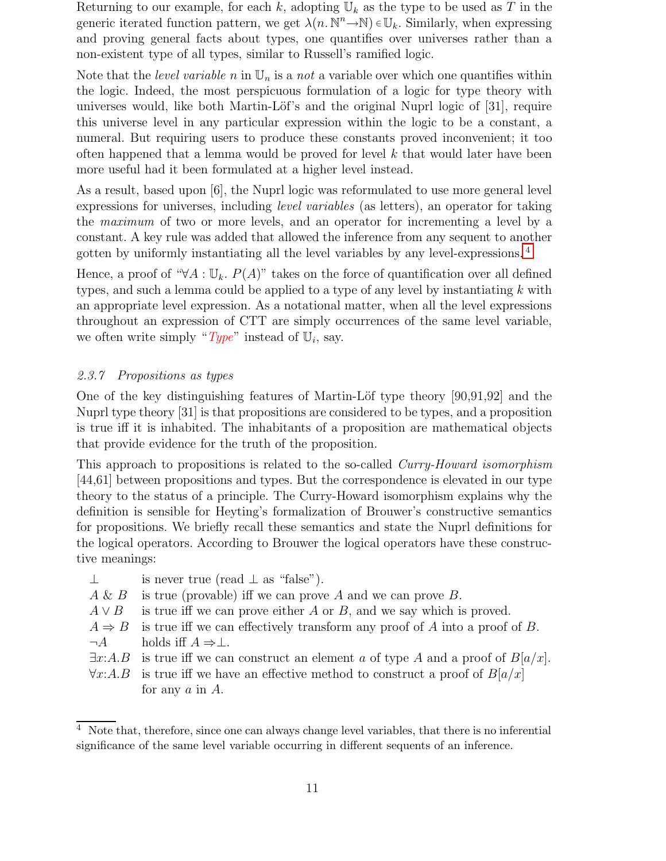Returning to our example, for each k, adopting  $\mathbb{U}_k$  as the type to be used as T in the generic iterated function pattern, we get  $\lambda(n, \mathbb{N}^n \to \mathbb{N}) \in \mathbb{U}_k$ . Similarly, when expressing and proving general facts about types, one quantifies over universes rather than a non-existent type of all types, similar to Russell's ramified logic.

Note that the *level variable* n in  $\mathbb{U}_n$  is a *not* a variable over which one quantifies within the logic. Indeed, the most perspicuous formulation of a logic for type theory with universes would, like both Martin-Löf's and the original Nuprl logic of [31], require this universe level in any particular expression within the logic to be a constant, a numeral. But requiring users to produce these constants proved inconvenient; it too often happened that a lemma would be proved for level  $k$  that would later have been more useful had it been formulated at a higher level instead.

As a result, based upon [6], the Nuprl logic was reformulated to use more general level expressions for universes, including level variables (as letters), an operator for taking the maximum of two or more levels, and an operator for incrementing a level by a constant. A key rule was added that allowed the inference from any sequent to another gotten by uniformly instantiating all the level variables by any level-expressions. [4](#page-10-0)

Hence, a proof of " $\forall A : \mathbb{U}_k$ .  $P(A)$ " takes on the force of quantification over all defined types, and such a lemma could be applied to a type of any level by instantiating  $k$  with an appropriate level expression. As a notational matter, when all the level expressions throughout an expression of CTT are simply occurrences of the same level variable, we often write simply " $Type$ " instead of  $\mathbb{U}_i$ , say.

### 2.3.7 Propositions as types

One of the key distinguishing features of Martin-Löf type theory  $[90,91,92]$  and the Nuprl type theory [31] is that propositions are considered to be types, and a proposition is true iff it is inhabited. The inhabitants of a proposition are mathematical objects that provide evidence for the truth of the proposition.

This approach to propositions is related to the so-called *Curry-Howard isomorphism* [44,61] between propositions and types. But the correspondence is elevated in our type theory to the status of a principle. The Curry-Howard isomorphism explains why the definition is sensible for Heyting's formalization of Brouwer's constructive semantics for propositions. We briefly recall these semantics and state the Nuprl definitions for the logical operators. According to Brouwer the logical operators have these constructive meanings:

|          | is never true (read $\perp$ as "false").                                                      |
|----------|-----------------------------------------------------------------------------------------------|
|          | $A \& B$ is true (provable) iff we can prove A and we can prove B.                            |
|          | $A \vee B$ is true iff we can prove either A or B, and we say which is proved.                |
|          | $A \Rightarrow B$ is true iff we can effectively transform any proof of A into a proof of B.  |
| $\neg A$ | holds iff $A \Rightarrow \perp$ .                                                             |
|          | $\exists x:A.B$ is true iff we can construct an element a of type A and a proof of $B[a/x]$ . |
|          | $\forall x:A.B$ is true iff we have an effective method to construct a proof of $B[a/x]$      |
|          | for any $a$ in $A$ .                                                                          |
|          |                                                                                               |

<span id="page-10-0"></span> $<sup>4</sup>$  Note that, therefore, since one can always change level variables, that there is no inferential</sup> significance of the same level variable occurring in different sequents of an inference.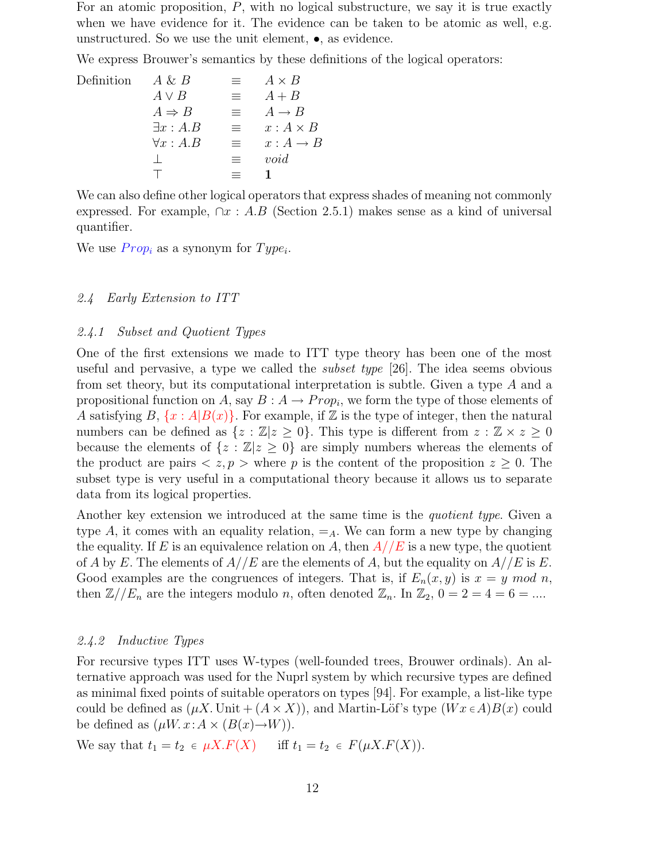For an atomic proposition, P, with no logical substructure, we say it is true exactly when we have evidence for it. The evidence can be taken to be atomic as well, e.g. unstructured. So we use the unit element, •, as evidence.

We express Brouwer's semantics by these definitions of the logical operators:

| Definition | $A \& B$          | $\equiv$ | $A \times B$       |
|------------|-------------------|----------|--------------------|
|            | $A \vee B$        | $\equiv$ | $A + B$            |
|            | $A \Rightarrow B$ | $\equiv$ | $A \rightarrow B$  |
|            | $\exists x:A.B$   | $\equiv$ | $x:A\times B$      |
|            | $\forall x:A.B$   | 三        | $x:A\rightarrow B$ |
|            |                   | $\equiv$ | void               |
|            |                   |          |                    |

We can also define other logical operators that express shades of meaning not commonly expressed. For example,  $\cap x : A.B$  (Section 2.5.1) makes sense as a kind of universal quantifier.

We use  $Prop_i$  as a synonym for  $Type_i$ .

#### 2.4 Early Extension to ITT

#### 2.4.1 Subset and Quotient Types

One of the first extensions we made to ITT type theory has been one of the most useful and pervasive, a type we called the subset type [26]. The idea seems obvious from set theory, but its computational interpretation is subtle. Given a type A and a propositional function on A, say  $B: A \to Prop_i$ , we form the type of those elements of A satisfying  $B, \{x : A | B(x)\}.$  For example, if Z is the type of integer, then the natural numbers can be defined as  $\{z : \mathbb{Z}|z \geq 0\}$ . This type is different from  $z : \mathbb{Z} \times z \geq 0$ because the elements of  $\{z : \mathbb{Z} | z \geq 0\}$  are simply numbers whereas the elements of the product are pairs  $\langle z, p \rangle$  where p is the content of the proposition  $z \geq 0$ . The subset type is very useful in a computational theory because it allows us to separate data from its logical properties.

Another key extension we introduced at the same time is the *quotient type*. Given a type A, it comes with an equality relation,  $=$ <sub>A</sub>. We can form a new type by changing the equality. If E is an equivalence relation on A, then  $A//E$  is a new type, the quotient of A by E. The elements of  $A//E$  are the elements of A, but the equality on  $A//E$  is E. Good examples are the congruences of integers. That is, if  $E_n(x, y)$  is  $x = y \mod n$ , then  $\mathbb{Z}/\mathbb{Z}_n$  are the integers modulo *n*, often denoted  $\mathbb{Z}_n$ . In  $\mathbb{Z}_2$ ,  $0 = 2 = 4 = 6 = ...$ 

#### 2.4.2 Inductive Types

For recursive types ITT uses W-types (well-founded trees, Brouwer ordinals). An alternative approach was used for the Nuprl system by which recursive types are defined as minimal fixed points of suitable operators on types [94]. For example, a list-like type could be defined as  $(\mu X$ . Unit  $+(A \times X))$ , and Martin-Löf's type  $(Wx \in A)B(x)$  could be defined as  $(\mu W. x:A \times (B(x) \rightarrow W))$ .

We say that  $t_1 = t_2 \in \mu X.F(X)$  iff  $t_1 = t_2 \in F(\mu X.F(X)).$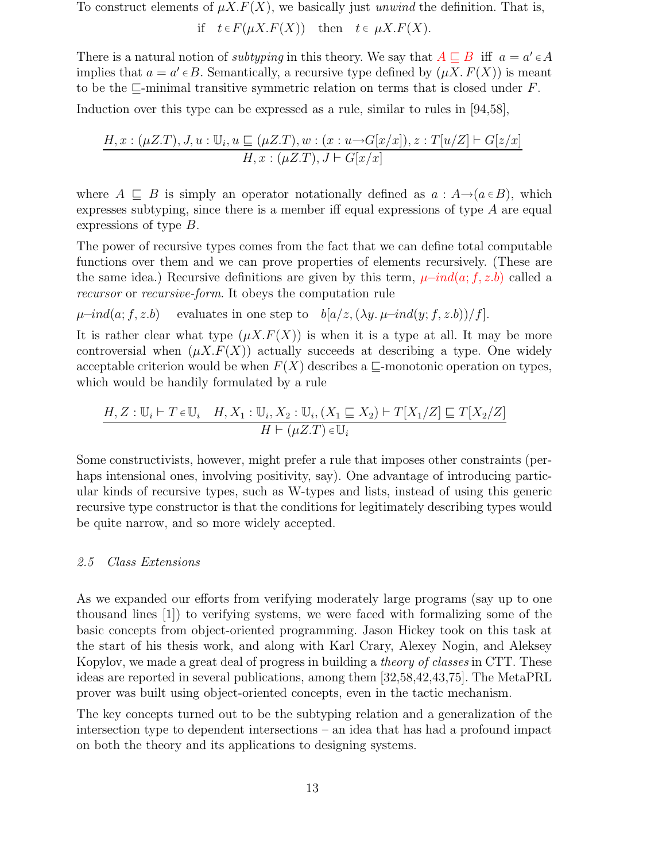To construct elements of  $\mu X.F(X)$ , we basically just unwind the definition. That is,

if  $t \in F(\mu X.F(X))$  then  $t \in \mu X.F(X)$ .

There is a natural notion of *subtyping* in this theory. We say that  $A \subseteq B$  iff  $a = a' \in A$ implies that  $a = a' \in B$ . Semantically, a recursive type defined by  $(\mu X. F(X))$  is meant to be the  $\Box$ -minimal transitive symmetric relation on terms that is closed under F.

Induction over this type can be expressed as a rule, similar to rules in [94,58],

$$
H, x: (\mu Z.T), J, u: \mathbb{U}_i, u \sqsubseteq (\mu Z.T), w: (x: u \rightarrow G[x/x]), z: T[u/Z] \vdash G[z/x]
$$
  

$$
H, x: (\mu Z.T), J \vdash G[x/x]
$$

where  $A \subseteq B$  is simply an operator notationally defined as  $a : A \rightarrow (a \in B)$ , which expresses subtyping, since there is a member iff equal expressions of type A are equal expressions of type B.

The power of recursive types comes from the fact that we can define total computable functions over them and we can prove properties of elements recursively. (These are the same idea.) Recursive definitions are given by this term,  $\mu$ –ind(a; f, z.b) called a recursor or recursive-form. It obeys the computation rule

 $\mu$ -ind(a; f, z.b) evaluates in one step to  $b[a/z,(\lambda y.\mu$ -ind(y; f, z.b))/f.

It is rather clear what type  $(\mu X.F(X))$  is when it is a type at all. It may be more controversial when  $(\mu X.F(X))$  actually succeeds at describing a type. One widely acceptable criterion would be when  $F(X)$  describes a  $\Box$ -monotonic operation on types, which would be handily formulated by a rule

$$
\frac{H,Z:\mathbb{U}_i\vdash T\in\mathbb{U}_i\quad H,X_1:\mathbb{U}_i,X_2:\mathbb{U}_i,(X_1\sqsubseteq X_2)\vdash T[X_1/Z]\sqsubseteq T[X_2/Z]}{H\vdash (\mu Z.T)\in\mathbb{U}_i}
$$

Some constructivists, however, might prefer a rule that imposes other constraints (perhaps intensional ones, involving positivity, say). One advantage of introducing particular kinds of recursive types, such as W-types and lists, instead of using this generic recursive type constructor is that the conditions for legitimately describing types would be quite narrow, and so more widely accepted.

#### 2.5 Class Extensions

As we expanded our efforts from verifying moderately large programs (say up to one thousand lines [1]) to verifying systems, we were faced with formalizing some of the basic concepts from object-oriented programming. Jason Hickey took on this task at the start of his thesis work, and along with Karl Crary, Alexey Nogin, and Aleksey Kopylov, we made a great deal of progress in building a *theory of classes* in CTT. These ideas are reported in several publications, among them [32,58,42,43,75]. The MetaPRL prover was built using object-oriented concepts, even in the tactic mechanism.

The key concepts turned out to be the subtyping relation and a generalization of the intersection type to dependent intersections – an idea that has had a profound impact on both the theory and its applications to designing systems.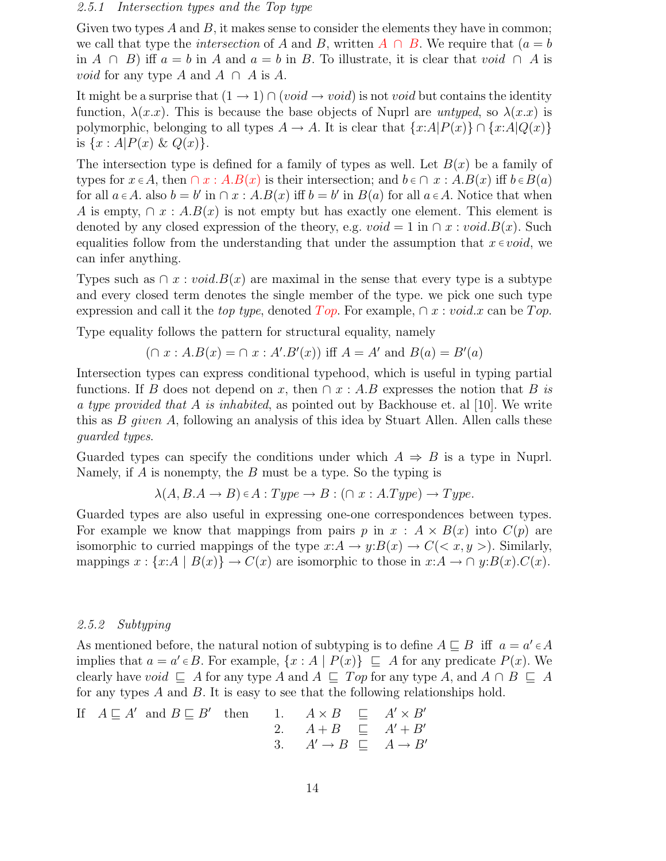#### 2.5.1 Intersection types and the Top type

Given two types  $A$  and  $B$ , it makes sense to consider the elements they have in common; we call that type the *intersection* of A and B, written  $A \cap B$ . We require that  $(a = b$ in A ∩ B) iff  $a = b$  in A and  $a = b$  in B. To illustrate, it is clear that void  $\cap$  A is *void* for any type A and  $A \cap A$  is A.

It might be a surprise that  $(1 \rightarrow 1) \cap (void \rightarrow void)$  is not *void* but contains the identity function,  $\lambda(x.x)$ . This is because the base objects of Nuprl are untyped, so  $\lambda(x.x)$  is polymorphic, belonging to all types  $A \to A$ . It is clear that  $\{x:A|P(x)\}\cap \{x:A|Q(x)\}\$ is  $\{x : A | P(x) \& Q(x)\}.$ 

The intersection type is defined for a family of types as well. Let  $B(x)$  be a family of types for  $x \in A$ , then  $\bigcap x : A.B(x)$  is their intersection; and  $b \in \bigcap x : A.B(x)$  iff  $b \in B(a)$ for all  $a \in A$ . also  $b = b'$  in  $\cap x : A.B(x)$  iff  $b = b'$  in  $B(a)$  for all  $a \in A$ . Notice that when A is empty,  $\cap x : A.B(x)$  is not empty but has exactly one element. This element is denoted by any closed expression of the theory, e.g.  $void = 1$  in  $\cap x : void.B(x)$ . Such equalities follow from the understanding that under the assumption that  $x \in void$ , we can infer anything.

Types such as  $\cap x : void.B(x)$  are maximal in the sense that every type is a subtype and every closed term denotes the single member of the type. we pick one such type expression and call it the top type, denoted  $Top$ . For example,  $\cap x : void.x$  can be  $Top$ .

Type equality follows the pattern for structural equality, namely

$$
(\cap x : A.B(x) = \cap x : A'.B'(x)) \text{ iff } A = A' \text{ and } B(a) = B'(a)
$$

Intersection types can express conditional typehood, which is useful in typing partial functions. If B does not depend on x, then  $\cap x : A.B$  expresses the notion that B is a type provided that A is inhabited, as pointed out by Backhouse et. al  $[10]$ . We write this as  $B$  given A, following an analysis of this idea by Stuart Allen. Allen calls these guarded types.

Guarded types can specify the conditions under which  $A \Rightarrow B$  is a type in Nuprl. Namely, if A is nonempty, the B must be a type. So the typing is

$$
\lambda(A, B.A \to B) \in A : Type \to B : (\cap x : A. Type) \to Type.
$$

Guarded types are also useful in expressing one-one correspondences between types. For example we know that mappings from pairs p in  $x : A \times B(x)$  into  $C(p)$  are isomorphic to curried mappings of the type  $x:A \to y:B(x) \to C()$ . Similarly, mappings  $x : \{x:A \mid B(x)\} \to C(x)$  are isomorphic to those in  $x:A \to \cap y:B(x).C(x)$ .

### 2.5.2 Subtyping

As mentioned before, the natural notion of subtyping is to define  $A \subseteq B$  iff  $a = a' \in A$ implies that  $a = a' \in B$ . For example,  $\{x : A \mid P(x)\} \subseteq A$  for any predicate  $P(x)$ . We clearly have void  $\subseteq A$  for any type A and  $A \subseteq Top$  for any type A, and  $A \cap B \subseteq A$ for any types  $A$  and  $B$ . It is easy to see that the following relationships hold.

If 
$$
A \sqsubseteq A'
$$
 and  $B \sqsubseteq B'$  then 1.  $A \times B \sqsubseteq A' \times B'$   
\n2.  $A + B \sqsubseteq A' + B'$   
\n3.  $A' \rightarrow B \sqsubseteq A \rightarrow B'$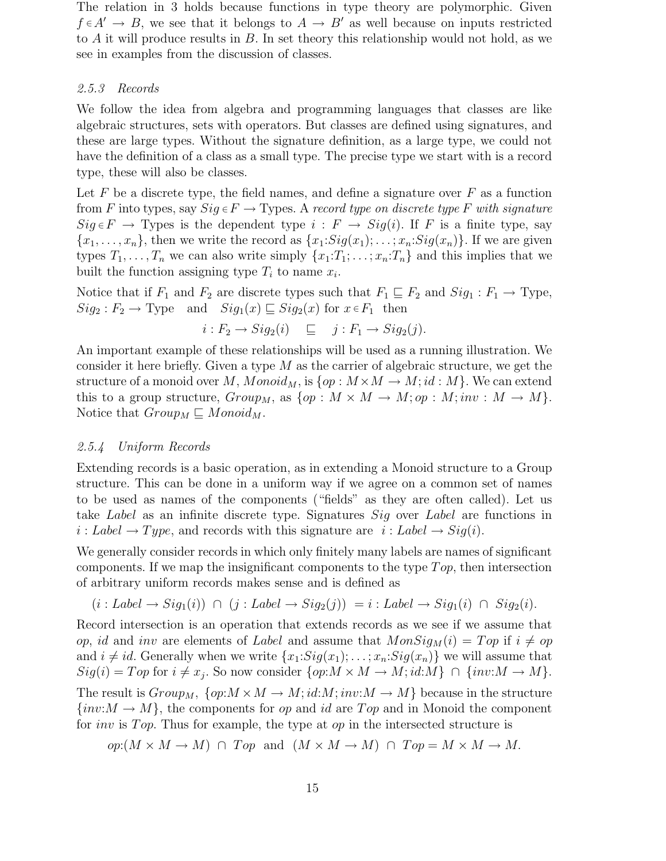The relation in 3 holds because functions in type theory are polymorphic. Given  $f \in A' \to B$ , we see that it belongs to  $A \to B'$  as well because on inputs restricted to  $\overline{A}$  it will produce results in  $\overline{B}$ . In set theory this relationship would not hold, as we see in examples from the discussion of classes.

#### 2.5.3 Records

We follow the idea from algebra and programming languages that classes are like algebraic structures, sets with operators. But classes are defined using signatures, and these are large types. Without the signature definition, as a large type, we could not have the definition of a class as a small type. The precise type we start with is a record type, these will also be classes.

Let  $F$  be a discrete type, the field names, and define a signature over  $F$  as a function from F into types, say  $Sig \in F \to \text{Types}$ . A record type on discrete type F with signature  $Sig \in F \to \text{Types}$  is the dependent type  $i : F \to Sig(i)$ . If F is a finite type, say  ${x_1, \ldots, x_n}$ , then we write the record as  ${x_1:Sig(x_1); \ldots; x_n:Sig(x_n)}$ . If we are given types  $T_1, \ldots, T_n$  we can also write simply  $\{x_1 : T_1; \ldots; x_n : T_n\}$  and this implies that we built the function assigning type  $T_i$  to name  $x_i$ .

Notice that if  $F_1$  and  $F_2$  are discrete types such that  $F_1 \subseteq F_2$  and  $Sig_1 : F_1 \to Type$ ,  $Sig_2 : F_2 \to Type \text{ and } Sig_1(x) \sqsubseteq Sig_2(x) \text{ for } x \in F_1 \text{ then}$ 

$$
i: F_2 \to Sig_2(i) \subseteq j: F_1 \to Sig_2(j).
$$

An important example of these relationships will be used as a running illustration. We consider it here briefly. Given a type  $M$  as the carrier of algebraic structure, we get the structure of a monoid over M,  $Monoid_M$ , is  $\{op : M \times M \to M$ ; id: M  $\}$ . We can extend this to a group structure,  $Group_M$ , as  $\{op: M \times M \to M; op: M; inv: M \to M\}.$ Notice that  $Group_M \sqsubseteq Monoid_M$ .

#### 2.5.4 Uniform Records

Extending records is a basic operation, as in extending a Monoid structure to a Group structure. This can be done in a uniform way if we agree on a common set of names to be used as names of the components ("fields" as they are often called). Let us take Label as an infinite discrete type. Signatures Sig over Label are functions in  $i: Label \rightarrow Type$ , and records with this signature are  $i: Label \rightarrow Sig(i)$ .

We generally consider records in which only finitely many labels are names of significant components. If we map the insignificant components to the type  $Top$ , then intersection of arbitrary uniform records makes sense and is defined as

$$
(i:Label \rightarrow Sig_1(i)) \cap (j:Label \rightarrow Sig_2(j)) = i:Label \rightarrow Sig_1(i) \cap Sig_2(i).
$$

Record intersection is an operation that extends records as we see if we assume that op, id and inv are elements of Label and assume that  $MonSig_M(i) = Top$  if  $i \neq op$ and  $i \neq id$ . Generally when we write  $\{x_1: Sig(x_1); \ldots; x_n: Sig(x_n)\}\$ we will assume that  $Sig(i) = Top$  for  $i \neq x_j$ . So now consider  $\{op:M \times M \to M; id:M\} \cap \{inv:M \to M\}.$ 

The result is  $Group_M, \{op:M \times M \rightarrow M; id:M; inv:M \rightarrow M\}$  because in the structure  $\{inv:M \to M\}$ , the components for *op* and *id* are T*op* and in Monoid the component for *inv* is Top. Thus for example, the type at op in the intersected structure is

 $op:(M\times M\to M)\cap Top$  and  $(M\times M\to M)\cap Top=M\times M\to M$ .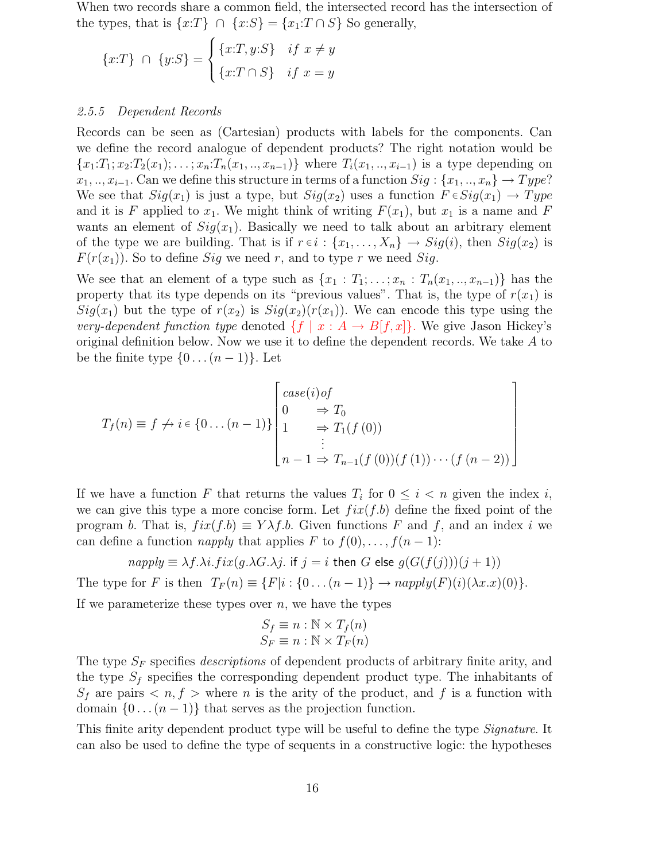When two records share a common field, the intersected record has the intersection of the types, that is  $\{x:T\} \cap \{x:S\} = \{x_1:T \cap S\}$  So generally,

$$
\{x:T\} \cap \{y:S\} = \begin{cases} \{x:T, y:S\} & \text{if } x \neq y \\ \{x:T \cap S\} & \text{if } x = y \end{cases}
$$

#### 2.5.5 Dependent Records

Records can be seen as (Cartesian) products with labels for the components. Can we define the record analogue of dependent products? The right notation would be  ${x_1:T_1; x_2:T_2(x_1); \ldots; x_n:T_n(x_1, ..., x_{n-1})}$  where  $T_i(x_1, ..., x_{i-1})$  is a type depending on  $x_1, ..., x_{i-1}$ . Can we define this structure in terms of a function  $Sig : \{x_1, ..., x_n\} \rightarrow Type$ ? We see that  $Sig(x_1)$  is just a type, but  $Sig(x_2)$  uses a function  $F \in Sig(x_1) \rightarrow Type$ and it is F applied to  $x_1$ . We might think of writing  $F(x_1)$ , but  $x_1$  is a name and F wants an element of  $Sig(x_1)$ . Basically we need to talk about an arbitrary element of the type we are building. That is if  $r \in i : \{x_1, \ldots, X_n\} \to Sig(i)$ , then  $Sig(x_2)$  is  $F(r(x_1))$ . So to define Sig we need r, and to type r we need Sig.

We see that an element of a type such as  $\{x_1 : T_1; \ldots; x_n : T_n(x_1, \ldots, x_{n-1})\}$  has the property that its type depends on its "previous values". That is, the type of  $r(x_1)$  is  $Sig(x_1)$  but the type of  $r(x_2)$  is  $Sig(x_2)(r(x_1))$ . We can encode this type using the very-dependent function type denoted  $\{f \mid x : A \to B[f,x]\}$ . We give Jason Hickey's original definition below. Now we use it to define the dependent records. We take A to be the finite type  $\{0 \dots (n-1)\}\.$  Let

$$
T_f(n) \equiv f \nleftrightarrow i \in \{0 \dots (n-1)\} \begin{bmatrix} case(i) \text{ of} \\ 0 & \Rightarrow T_0 \\ 1 & \Rightarrow T_1(f(0)) \\ \vdots \\ n-1 \Rightarrow T_{n-1}(f(0))(f(1)) \cdots (f(n-2)) \end{bmatrix}
$$

If we have a function F that returns the values  $T_i$  for  $0 \leq i \leq n$  given the index i, we can give this type a more concise form. Let  $fix(f.b)$  define the fixed point of the program b. That is,  $fix(f.b) \equiv Y\lambda f.b.$  Given functions F and f, and an index i we can define a function *napply* that applies F to  $f(0), \ldots, f(n-1)$ :

$$
napply \equiv \lambda f. \lambda i.fix(g. \lambda G. \lambda j. \text{ if } j = i \text{ then } G \text{ else } g(G(f(j)))(j+1))
$$

The type for F is then 
$$
T_F(n) \equiv \{F|i: \{0 \dots (n-1)\} \rightarrow napply(F)(i)(\lambda x.x)(0)\}.
$$

If we parameterize these types over  $n$ , we have the types

$$
S_f \equiv n : \mathbb{N} \times T_f(n)
$$
  

$$
S_F \equiv n : \mathbb{N} \times T_F(n)
$$

The type  $S_F$  specifies *descriptions* of dependent products of arbitrary finite arity, and the type  $S_f$  specifies the corresponding dependent product type. The inhabitants of  $S_f$  are pairs  $\langle n, f \rangle$  where n is the arity of the product, and f is a function with domain  $\{0 \dots (n-1)\}\$  that serves as the projection function.

This finite arity dependent product type will be useful to define the type *Signature*. It can also be used to define the type of sequents in a constructive logic: the hypotheses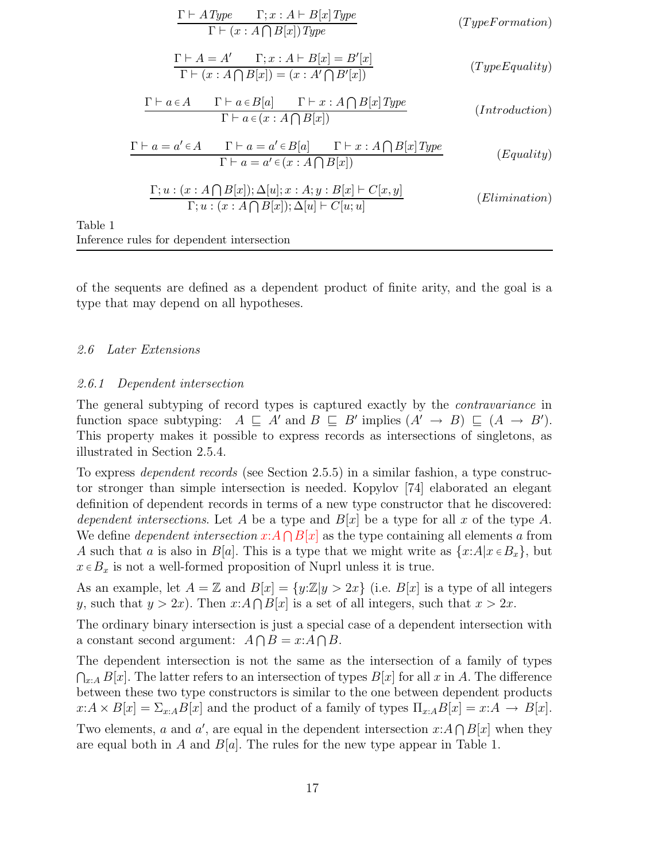$$
\frac{\Gamma \vdash A \text{Type} \qquad \Gamma; x : A \vdash B[x] \text{Type}}{\Gamma \vdash (x : A \cap B[x]) \text{Type}} \qquad (\text{TypeFromation})
$$
\n
$$
\frac{\Gamma \vdash A = A' \qquad \Gamma; x : A \vdash B[x] = B'[x]}{\Gamma \vdash (x : A \cap B[x]) = (x : A' \cap B'[x])} \qquad (\text{TypeEquality})
$$
\n
$$
\frac{\Gamma \vdash a \in A \qquad \Gamma \vdash a \in B[a] \qquad \Gamma \vdash x : A \cap B[x] \text{Type}}{\Gamma \vdash a \in (x : A \cap B[x])} \qquad (\text{Introduction})
$$
\n
$$
\frac{\Gamma \vdash a = a' \in A \qquad \Gamma \vdash a = a' \in B[a] \qquad \Gamma \vdash x : A \cap B[x] \text{Type}}{\Gamma \vdash a = a' \in (x : A \cap B[x])} \qquad (\text{Equality})
$$
\n
$$
\frac{\Gamma; u : (x : A \cap B[x]); \Delta[u]; x : A; y : B[x] \vdash C[x, y]}{\Gamma; u : (x : A \cap B[x]); \Delta[u] \vdash C[u; u]} \qquad (\text{Elimination})
$$
\nTable 1

\nInference rules for dependent intersection

of the sequents are defined as a dependent product of finite arity, and the goal is a type that may depend on all hypotheses.

### 2.6 Later Extensions

#### 2.6.1 Dependent intersection

The general subtyping of record types is captured exactly by the *contravariance* in function space subtyping:  $A \subseteq A'$  and  $B \subseteq B'$  implies  $(A' \rightarrow B) \subseteq (A \rightarrow B')$ . This property makes it possible to express records as intersections of singletons, as illustrated in Section 2.5.4.

To express dependent records (see Section 2.5.5) in a similar fashion, a type constructor stronger than simple intersection is needed. Kopylov [74] elaborated an elegant definition of dependent records in terms of a new type constructor that he discovered: dependent intersections. Let A be a type and  $B[x]$  be a type for all x of the type A. We define *dependent intersection*  $x:A \cap B[x]$  as the type containing all elements a from A such that a is also in  $B[a]$ . This is a type that we might write as  $\{x:A|x\in B_x\}$ , but  $x \in B_x$  is not a well-formed proposition of Nuprl unless it is true.

As an example, let  $A = \mathbb{Z}$  and  $B[x] = \{y:\mathbb{Z}|y > 2x\}$  (i.e.  $B[x]$  is a type of all integers y, such that  $y > 2x$ ). Then  $x:A \cap B[x]$  is a set of all integers, such that  $x > 2x$ .

The ordinary binary intersection is just a special case of a dependent intersection with a constant second argument:  $A \cap B = x : A \cap B$ .

The dependent intersection is not the same as the intersection of a family of types  $\bigcap_{x:A} B[x]$ . The latter refers to an intersection of types  $B[x]$  for all x in A. The difference between these two type constructors is similar to the one between dependent products  $x:A \times B[x] = \sum_{x:A} B[x]$  and the product of a family of types  $\Pi_{x:A} B[x] = x:A \rightarrow B[x]$ .

Two elements, a and a', are equal in the dependent intersection  $x:A \cap B[x]$  when they are equal both in A and  $B[a]$ . The rules for the new type appear in Table 1.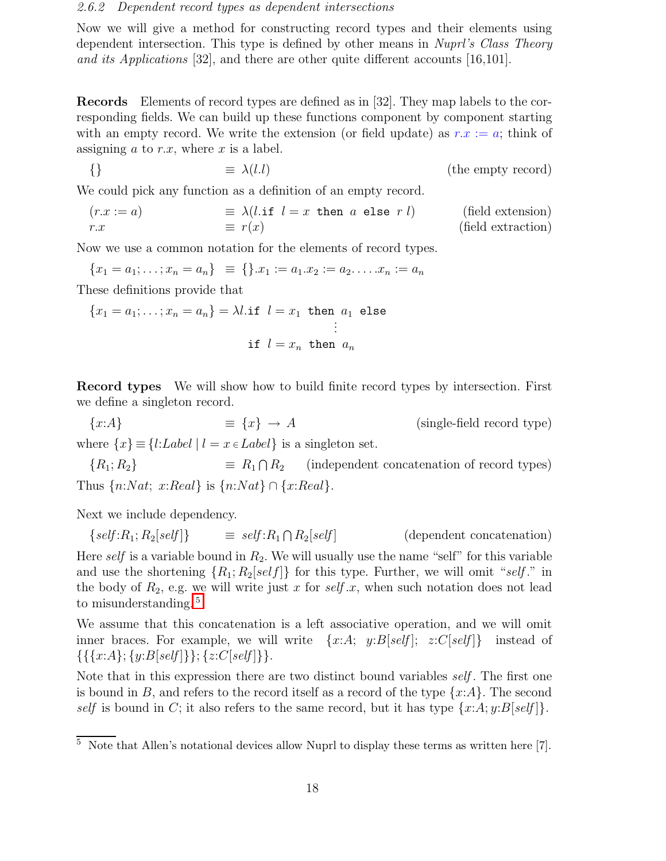#### 2.6.2 Dependent record types as dependent intersections

Now we will give a method for constructing record types and their elements using dependent intersection. This type is defined by other means in *Nuprl's Class Theory* and its Applications [32], and there are other quite different accounts [16,101].

Records Elements of record types are defined as in [32]. They map labels to the corresponding fields. We can build up these functions component by component starting with an empty record. We write the extension (or field update) as  $r.x := a$ ; think of assigning  $a$  to  $r.x$ , where  $x$  is a label.

$$
\{\}\qquad \qquad \equiv \lambda(l.l)\tag{the empty record}
$$

We could pick any function as a definition of an empty record.

$$
(r.x := a) \qquad \equiv \lambda (l \text{ if } l = x \text{ then } a \text{ else } r l)
$$
\n
$$
r.x \qquad \equiv r(x)
$$
\n(field extension)

\n(field extraction)

Now we use a common notation for the elements of record types.

$$
\{x_1 = a_1; \dots; x_n = a_n\} \equiv \{\}.x_1 := a_1.x_2 := a_2. \dots .x_n := a_n
$$
  
These definitions provide that

$$
\{x_1 = a_1; \dots; x_n = a_n\} = \lambda l \text{ if } l = x_1 \text{ then } a_1 \text{ else } \vdots
$$

$$
\text{if } l = x_n \text{ then } a_n
$$

Record types We will show how to build finite record types by intersection. First we define a singleton record.

 ${x:A} \equiv {x} \rightarrow A$  (single-field record type) where  $\{x\} \equiv \{l:Label \mid l = x \in Label\}$  is a singleton set.

 ${R_1; R_2}$  $\equiv R_1 \cap R_2$ (independent concatenation of record types) Thus  $\{n: Nat; x: Real\}$  is  $\{n: Nat\} \cap \{x: Real\}$ .

Next we include dependency.

 $\{self:R_1; R_2[self]\}$   $\equiv self:R_1 \cap$ (dependent concatenation) Here self is a variable bound in  $R_2$ . We will usually use the name "self" for this variable and use the shortening  $\{R_1; R_2[self]\}$  for this type. Further, we will omit "self." in the body of  $R_2$ , e.g. we will write just x for self x, when such notation does not lead to misunderstanding.<sup>[5](#page-17-0)</sup>

We assume that this concatenation is a left associative operation, and we will omit inner braces. For example, we will write  $\{x:A; y:B[self]; z:C[self]\}$  instead of  $\{\{\{x:A\}; \{y:B[self]\}\}; \{z:C[self]\}\}.$ 

Note that in this expression there are two distinct bound variables self . The first one is bound in B, and refers to the record itself as a record of the type  $\{x:A\}$ . The second self is bound in C; it also refers to the same record, but it has type  $\{x:A; y:B[self]\}.$ 

<span id="page-17-0"></span><sup>&</sup>lt;sup>5</sup> Note that Allen's notational devices allow Nuprl to display these terms as written here [7].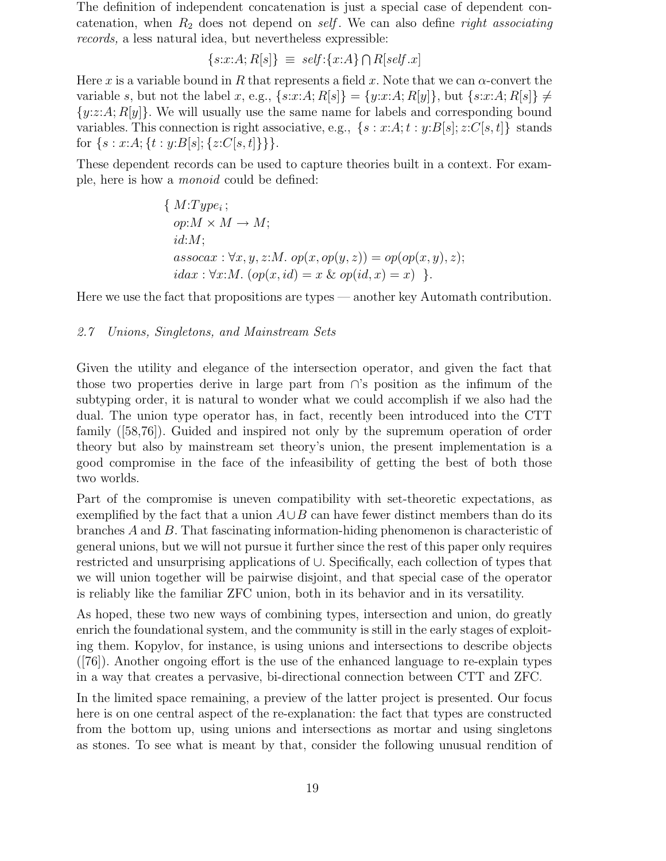The definition of independent concatenation is just a special case of dependent concatenation, when  $R_2$  does not depend on self. We can also define right associating records, a less natural idea, but nevertheless expressible:

$$
{s:x:A;R[s]}\equiv \text{self:}\{x:A\} \cap R[\text{self}.x]
$$

Here x is a variable bound in R that represents a field x. Note that we can  $\alpha$ -convert the variable s, but not the label x, e.g.,  $\{s:x:A; R[s]\} = \{y:x:A; R[y]\}$ , but  $\{s:x:A; R[s]\} \neq$  $\{y:z:A;R[y]\}.$  We will usually use the same name for labels and corresponding bound variables. This connection is right associative, e.g.,  $\{s : x:A; t : y:B[s]; z:C[s,t]\}\$  stands for  $\{s : x:A; \{t : y:B[s]; \{z:C[s,t]\}\}\}.$ 

These dependent records can be used to capture theories built in a context. For example, here is how a monoid could be defined:

{
$$
M:Type_i
$$
;  
\n $op:M \times M \to M$ ;  
\n $id:M$ ;  
\n $assocax : \forall x, y, z:M. op(x, op(y, z)) = op(op(x, y), z)$ ;  
\n $idax : \forall x:M. (op(x, id) = x \& op(id, x) = x)$  }.

Here we use the fact that propositions are types — another key Automath contribution.

### 2.7 Unions, Singletons, and Mainstream Sets

Given the utility and elegance of the intersection operator, and given the fact that those two properties derive in large part from ∩'s position as the infimum of the subtyping order, it is natural to wonder what we could accomplish if we also had the dual. The union type operator has, in fact, recently been introduced into the CTT family ([58,76]). Guided and inspired not only by the supremum operation of order theory but also by mainstream set theory's union, the present implementation is a good compromise in the face of the infeasibility of getting the best of both those two worlds.

Part of the compromise is uneven compatibility with set-theoretic expectations, as exemplified by the fact that a union  $A \cup B$  can have fewer distinct members than do its branches A and B. That fascinating information-hiding phenomenon is characteristic of general unions, but we will not pursue it further since the rest of this paper only requires restricted and unsurprising applications of ∪. Specifically, each collection of types that we will union together will be pairwise disjoint, and that special case of the operator is reliably like the familiar ZFC union, both in its behavior and in its versatility.

As hoped, these two new ways of combining types, intersection and union, do greatly enrich the foundational system, and the community is still in the early stages of exploiting them. Kopylov, for instance, is using unions and intersections to describe objects ([76]). Another ongoing effort is the use of the enhanced language to re-explain types in a way that creates a pervasive, bi-directional connection between CTT and ZFC.

In the limited space remaining, a preview of the latter project is presented. Our focus here is on one central aspect of the re-explanation: the fact that types are constructed from the bottom up, using unions and intersections as mortar and using singletons as stones. To see what is meant by that, consider the following unusual rendition of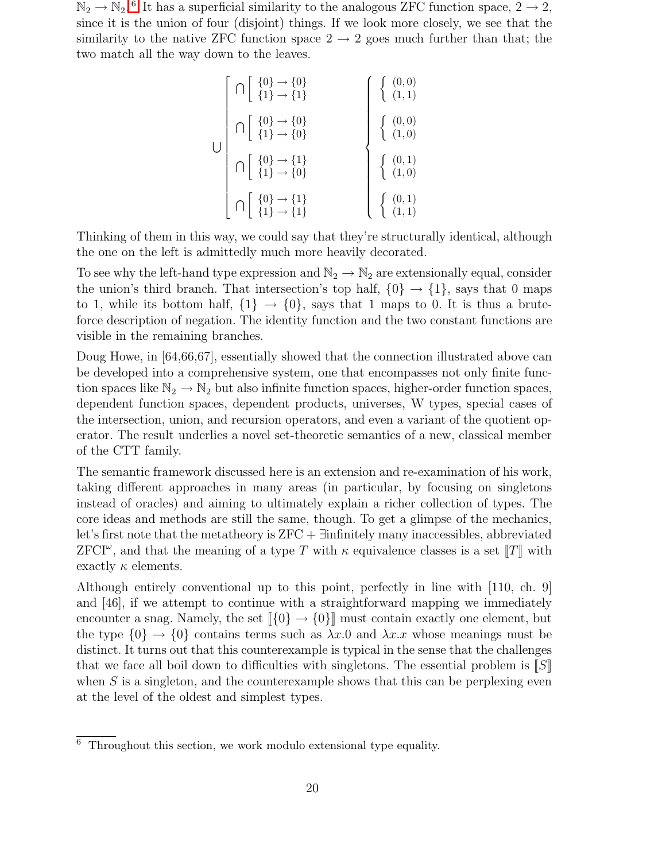$\mathbb{N}_2 \to \mathbb{N}_2$ .<sup>[6](#page-19-0)</sup> It has a superficial similarity to the analogous ZFC function space,  $2 \to 2$ , since it is the union of four (disjoint) things. If we look more closely, we see that the similarity to the native ZFC function space  $2 \rightarrow 2$  goes much further than that; the two match all the way down to the leaves.

|  | $\left[\begin{array}{c} \bigcap \left\{0\right\} \rightarrow \{0\} \\ \{1\} \rightarrow \{1\} \end{array}\right]$ | $\left\{ \begin{array}{c} (0,0) \\ (1,1) \end{array} \right.$ |
|--|-------------------------------------------------------------------------------------------------------------------|---------------------------------------------------------------|
|  | $\bigcap \left[ \begin{array}{c} \{0\} \rightarrow \{0\} \\ \{1\} \rightarrow \{0\} \end{array} \right]$          | $\left\{ \begin{array}{c} (0,0) \\ (1,0) \end{array} \right.$ |
|  | $\bigcap \left[ \begin{array}{c} \{0\} \rightarrow \{1\} \\ \{1\} \rightarrow \{0\} \end{array} \right.$          | $\left\{ \begin{array}{c} (0,1) \\ (1,0) \end{array} \right.$ |
|  | $\bigcap \left[ \begin{array}{c} \{0\} \rightarrow \{1\} \\ \{1\} \rightarrow \{1\} \end{array} \right]$          | $\left\{ \begin{array}{ll} (0,1) \ (1,1) \end{array} \right.$ |

Thinking of them in this way, we could say that they're structurally identical, although the one on the left is admittedly much more heavily decorated.

To see why the left-hand type expression and  $\mathbb{N}_2 \to \mathbb{N}_2$  are extensionally equal, consider the union's third branch. That intersection's top half,  $\{0\} \rightarrow \{1\}$ , says that 0 maps to 1, while its bottom half,  $\{1\} \rightarrow \{0\}$ , says that 1 maps to 0. It is thus a bruteforce description of negation. The identity function and the two constant functions are visible in the remaining branches.

Doug Howe, in [64,66,67], essentially showed that the connection illustrated above can be developed into a comprehensive system, one that encompasses not only finite function spaces like  $\mathbb{N}_2 \to \mathbb{N}_2$  but also infinite function spaces, higher-order function spaces, dependent function spaces, dependent products, universes, W types, special cases of the intersection, union, and recursion operators, and even a variant of the quotient operator. The result underlies a novel set-theoretic semantics of a new, classical member of the CTT family.

The semantic framework discussed here is an extension and re-examination of his work, taking different approaches in many areas (in particular, by focusing on singletons instead of oracles) and aiming to ultimately explain a richer collection of types. The core ideas and methods are still the same, though. To get a glimpse of the mechanics, let's first note that the metatheory is ZFC + ∃infinitely many inaccessibles, abbreviated  $ZFCI^{\omega}$ , and that the meaning of a type T with  $\kappa$  equivalence classes is a set  $[[T]]$  with exactly  $\kappa$  elements.

Although entirely conventional up to this point, perfectly in line with [110, ch. 9] and [46], if we attempt to continue with a straightforward mapping we immediately encounter a snag. Namely, the set  $\llbracket \{0\} \rightarrow \{0\} \rrbracket$  must contain exactly one element, but the type  $\{0\} \rightarrow \{0\}$  contains terms such as  $\lambda x.0$  and  $\lambda x. x$  whose meanings must be distinct. It turns out that this counterexample is typical in the sense that the challenges that we face all boil down to difficulties with singletons. The essential problem is  $||S||$ when  $S$  is a singleton, and the counterexample shows that this can be perplexing even at the level of the oldest and simplest types.

<span id="page-19-0"></span> $6$  Throughout this section, we work modulo extensional type equality.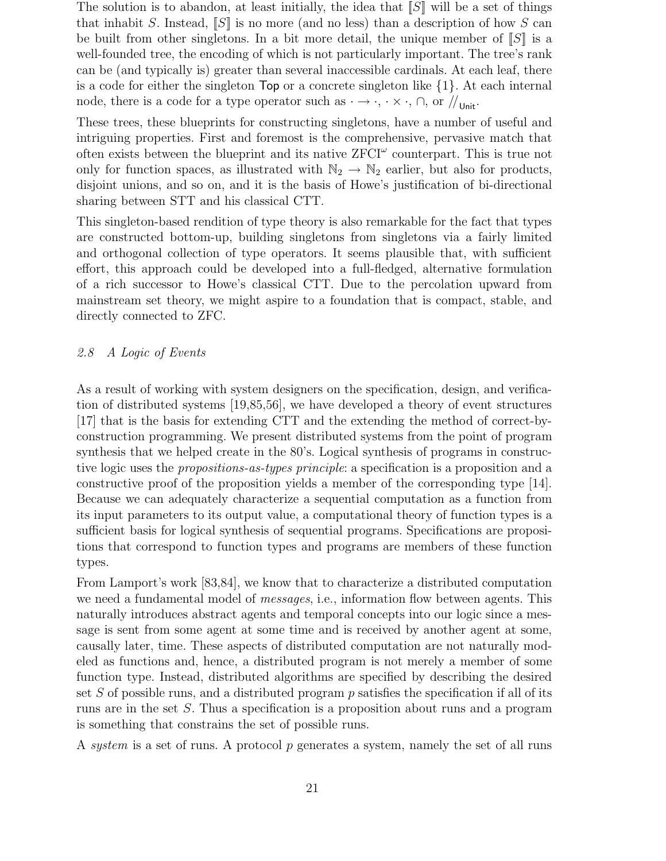The solution is to abandon, at least initially, the idea that  $\llbracket S \rrbracket$  will be a set of things that inhabit S. Instead,  $\llbracket S \rrbracket$  is no more (and no less) than a description of how S can be built from other singletons. In a bit more detail, the unique member of  $||S||$  is a well-founded tree, the encoding of which is not particularly important. The tree's rank can be (and typically is) greater than several inaccessible cardinals. At each leaf, there is a code for either the singleton Top or a concrete singleton like {1}. At each internal node, there is a code for a type operator such as  $\cdot \rightarrow \cdot, \cdot \times \cdot, \cap$ , or  $\frac{1}{\text{Unit}}$ .

These trees, these blueprints for constructing singletons, have a number of useful and intriguing properties. First and foremost is the comprehensive, pervasive match that often exists between the blueprint and its native  $ZFCI^{\omega}$  counterpart. This is true not only for function spaces, as illustrated with  $\mathbb{N}_2 \to \mathbb{N}_2$  earlier, but also for products, disjoint unions, and so on, and it is the basis of Howe's justification of bi-directional sharing between STT and his classical CTT.

This singleton-based rendition of type theory is also remarkable for the fact that types are constructed bottom-up, building singletons from singletons via a fairly limited and orthogonal collection of type operators. It seems plausible that, with sufficient effort, this approach could be developed into a full-fledged, alternative formulation of a rich successor to Howe's classical CTT. Due to the percolation upward from mainstream set theory, we might aspire to a foundation that is compact, stable, and directly connected to ZFC.

### 2.8 A Logic of Events

As a result of working with system designers on the specification, design, and verification of distributed systems [19,85,56], we have developed a theory of event structures [17] that is the basis for extending CTT and the extending the method of correct-byconstruction programming. We present distributed systems from the point of program synthesis that we helped create in the 80's. Logical synthesis of programs in constructive logic uses the propositions-as-types principle: a specification is a proposition and a constructive proof of the proposition yields a member of the corresponding type [14]. Because we can adequately characterize a sequential computation as a function from its input parameters to its output value, a computational theory of function types is a sufficient basis for logical synthesis of sequential programs. Specifications are propositions that correspond to function types and programs are members of these function types.

From Lamport's work [83,84], we know that to characterize a distributed computation we need a fundamental model of *messages*, i.e., information flow between agents. This naturally introduces abstract agents and temporal concepts into our logic since a message is sent from some agent at some time and is received by another agent at some, causally later, time. These aspects of distributed computation are not naturally modeled as functions and, hence, a distributed program is not merely a member of some function type. Instead, distributed algorithms are specified by describing the desired set S of possible runs, and a distributed program  $p$  satisfies the specification if all of its runs are in the set S. Thus a specification is a proposition about runs and a program is something that constrains the set of possible runs.

A system is a set of runs. A protocol p generates a system, namely the set of all runs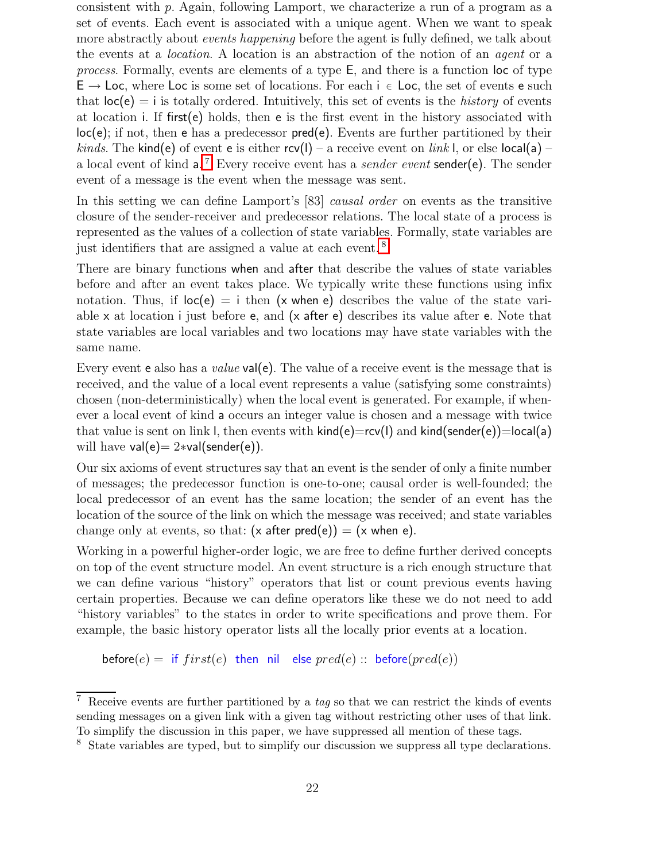consistent with p. Again, following Lamport, we characterize a run of a program as a set of events. Each event is associated with a unique agent. When we want to speak more abstractly about *events happening* before the agent is fully defined, we talk about the events at a location. A location is an abstraction of the notion of an agent or a process. Formally, events are elements of a type E, and there is a function loc of type  $E \rightarrow$  Loc, where Loc is some set of locations. For each  $i \in$  Loc, the set of events e such that  $\text{loc}(e) = i$  is totally ordered. Intuitively, this set of events is the *history* of events at location i. If first(e) holds, then e is the first event in the history associated with  $loc(e)$ ; if not, then e has a predecessor  $pred(e)$ . Events are further partitioned by their *kinds*. The kind(e) of event e is either  $rcv(1)$  – a receive event on *link* l, or else local(a) – a local event of kind a.<sup>[7](#page-21-0)</sup> Every receive event has a *sender event* sender(e). The sender event of a message is the event when the message was sent.

In this setting we can define Lamport's [83] *causal order* on events as the transitive closure of the sender-receiver and predecessor relations. The local state of a process is represented as the values of a collection of state variables. Formally, state variables are just identifiers that are assigned a value at each event. [8](#page-21-1)

There are binary functions when and after that describe the values of state variables before and after an event takes place. We typically write these functions using infix notation. Thus, if  $\text{loc}(e) = i$  then  $(x \text{ when } e)$  describes the value of the state variable x at location i just before e, and (x after e) describes its value after e. Note that state variables are local variables and two locations may have state variables with the same name.

Every event e also has a *value*  $val(e)$ . The value of a receive event is the message that is received, and the value of a local event represents a value (satisfying some constraints) chosen (non-deterministically) when the local event is generated. For example, if whenever a local event of kind a occurs an integer value is chosen and a message with twice that value is sent on link l, then events with  $\text{kind}(e)=\text{rcv}(1)$  and  $\text{kind}(\text{sender}(e))=\text{local}(a)$ will have val(e)=  $2*$ val(sender(e)).

Our six axioms of event structures say that an event is the sender of only a finite number of messages; the predecessor function is one-to-one; causal order is well-founded; the local predecessor of an event has the same location; the sender of an event has the location of the source of the link on which the message was received; and state variables change only at events, so that:  $(x \text{ after } pred(e)) = (x \text{ when } e)$ .

Working in a powerful higher-order logic, we are free to define further derived concepts on top of the event structure model. An event structure is a rich enough structure that we can define various "history" operators that list or count previous events having certain properties. Because we can define operators like these we do not need to add "history variables" to the states in order to write specifications and prove them. For example, the basic history operator lists all the locally prior events at a location.

before(e) = if  $first(e)$  then nil else  $pred(e)$  :: before( $pred(e)$ )

<span id="page-21-0"></span><sup>&</sup>lt;sup>7</sup> Receive events are further partitioned by a tag so that we can restrict the kinds of events sending messages on a given link with a given tag without restricting other uses of that link. To simplify the discussion in this paper, we have suppressed all mention of these tags.

<span id="page-21-1"></span><sup>8</sup> State variables are typed, but to simplify our discussion we suppress all type declarations.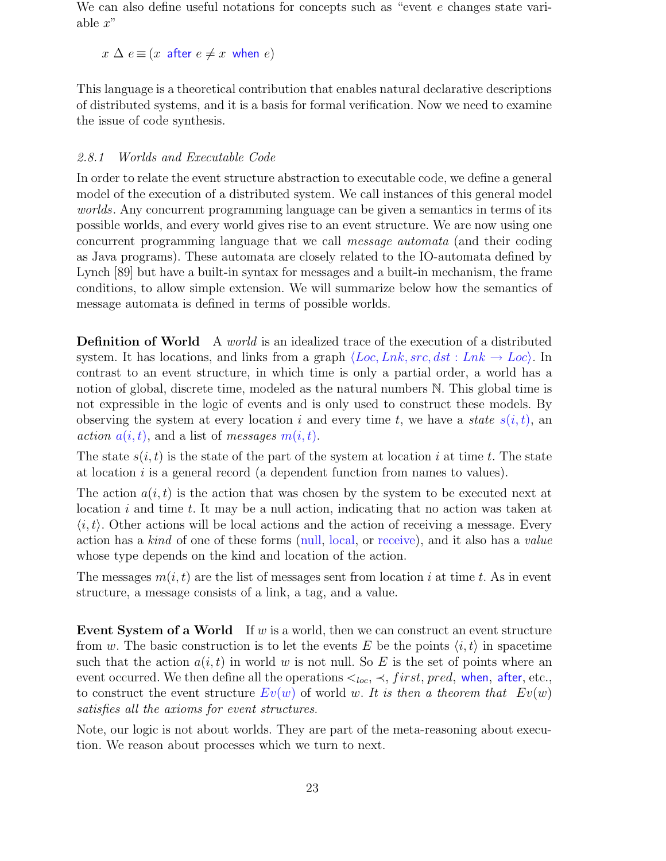We can also define useful notations for concepts such as "event e changes state variable  $x$ "

 $x \Delta e \equiv (x \text{ after } e \neq x \text{ when } e)$ 

This language is a theoretical contribution that enables natural declarative descriptions of distributed systems, and it is a basis for formal verification. Now we need to examine the issue of code synthesis.

### 2.8.1 Worlds and Executable Code

In order to relate the event structure abstraction to executable code, we define a general model of the execution of a distributed system. We call instances of this general model worlds. Any concurrent programming language can be given a semantics in terms of its possible worlds, and every world gives rise to an event structure. We are now using one concurrent programming language that we call message automata (and their coding as Java programs). These automata are closely related to the IO-automata defined by Lynch [89] but have a built-in syntax for messages and a built-in mechanism, the frame conditions, to allow simple extension. We will summarize below how the semantics of message automata is defined in terms of possible worlds.

Definition of World A world is an idealized trace of the execution of a distributed system. It has locations, and links from a graph  $\langle Loc, Lnk, src, dst : Lnk \rightarrow Loc \rangle$ . In contrast to an event structure, in which time is only a partial order, a world has a notion of global, discrete time, modeled as the natural numbers N. This global time is not expressible in the logic of events and is only used to construct these models. By observing the system at every location i and every time t, we have a *state*  $s(i, t)$ , an *action*  $a(i, t)$ , and a list of *messages*  $m(i, t)$ .

The state  $s(i, t)$  is the state of the part of the system at location i at time t. The state at location i is a general record (a dependent function from names to values).

The action  $a(i, t)$  is the action that was chosen by the system to be executed next at location  $i$  and time  $t$ . It may be a null action, indicating that no action was taken at  $\langle i, t \rangle$ . Other actions will be local actions and the action of receiving a message. Every action has a kind of one of these forms (null, local, or receive), and it also has a value whose type depends on the kind and location of the action.

The messages  $m(i, t)$  are the list of messages sent from location i at time t. As in event structure, a message consists of a link, a tag, and a value.

Event System of a World If  $w$  is a world, then we can construct an event structure from w. The basic construction is to let the events E be the points  $\langle i, t \rangle$  in spacetime such that the action  $a(i, t)$  in world w is not null. So E is the set of points where an event occurred. We then define all the operations  $\lt_{loc} \lt, first, pred,$  when, after, etc., to construct the event structure  $Ev(w)$  of world w. It is then a theorem that  $Ev(w)$ satisfies all the axioms for event structures.

Note, our logic is not about worlds. They are part of the meta-reasoning about execution. We reason about processes which we turn to next.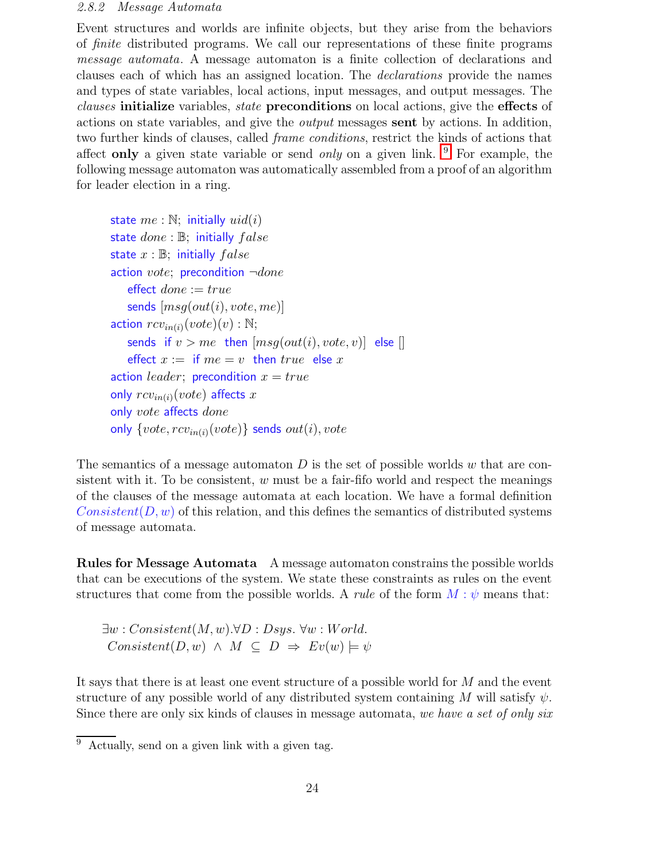#### 2.8.2 Message Automata

Event structures and worlds are infinite objects, but they arise from the behaviors of finite distributed programs. We call our representations of these finite programs message automata. A message automaton is a finite collection of declarations and clauses each of which has an assigned location. The declarations provide the names and types of state variables, local actions, input messages, and output messages. The clauses initialize variables, state preconditions on local actions, give the effects of actions on state variables, and give the output messages sent by actions. In addition, two further kinds of clauses, called frame conditions, restrict the kinds of actions that affect only a given state variable or send *only* on a given link. <sup>[9](#page-23-0)</sup> For example, the following message automaton was automatically assembled from a proof of an algorithm for leader election in a ring.

```
state me : \mathbb{N}; initially uid(i)state done : \mathbb{B}; initially falsestate x : \mathbb{B}; initially falseaction vote; precondition \neg doneeffect done := truesends [msg(out(i), vote, me)]action rcv_{in(i)}(vote)(v): N;
   sends if v > me then [msg(out(i), vote, v)] else []
   effect x := if me = v then true else x
action leader; precondition x = trueonly rcv_{in(i)}(vote) affects x
only vote affects done
only \{vote, rcv_{in(i)}(vote)\} sends out(i), vote
```
The semantics of a message automaton  $D$  is the set of possible worlds  $w$  that are consistent with it. To be consistent,  $w$  must be a fair-fifo world and respect the meanings of the clauses of the message automata at each location. We have a formal definition  $Consistent(D, w)$  of this relation, and this defines the semantics of distributed systems of message automata.

Rules for Message Automata A message automaton constrains the possible worlds that can be executions of the system. We state these constraints as rules on the event structures that come from the possible worlds. A *rule* of the form  $M : \psi$  means that:

 $\exists w : Consistent(M, w). \forall D : Dsys. \ \forall w : World.$  $Consistent(D, w) \wedge M \subseteq D \Rightarrow Ev(w) \models \psi$ 

It says that there is at least one event structure of a possible world for M and the event structure of any possible world of any distributed system containing M will satisfy  $\psi$ . Since there are only six kinds of clauses in message automata, we have a set of only six

<span id="page-23-0"></span> $9$  Actually, send on a given link with a given tag.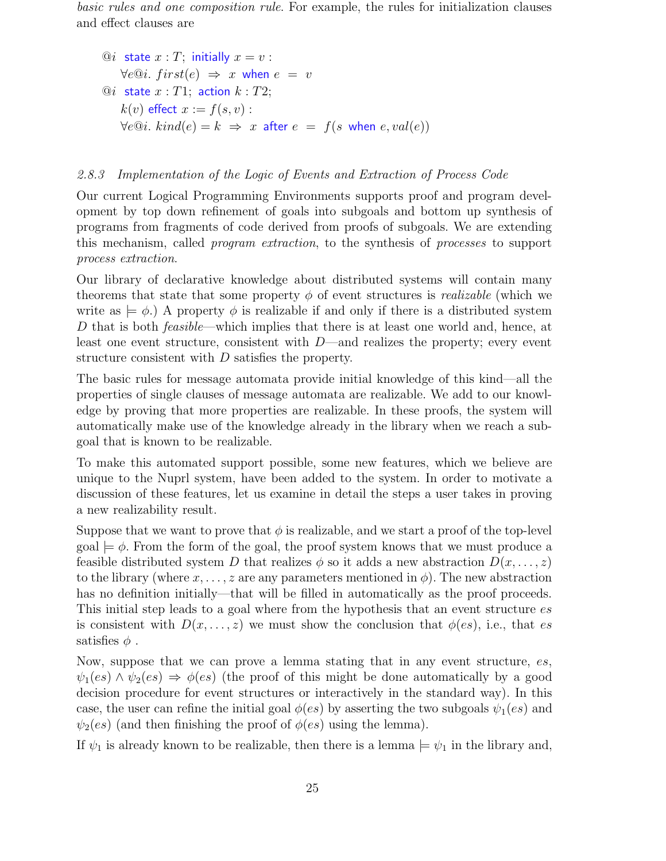basic rules and one composition rule. For example, the rules for initialization clauses and effect clauses are

 $@i$  state  $x : T;$  initially  $x = v$ :  $\forall e @ i. \text{ first}(e) \Rightarrow x \text{ when } e = v$  $@i$  state  $x : T1$ ; action  $k : T2$ ;  $k(v)$  effect  $x := f(s, v)$ :  $\forall e \mathbb{Q}$ *i.*  $kind(e) = k \Rightarrow x$  after  $e = f(s$  when  $e, val(e)$ 

### 2.8.3 Implementation of the Logic of Events and Extraction of Process Code

Our current Logical Programming Environments supports proof and program development by top down refinement of goals into subgoals and bottom up synthesis of programs from fragments of code derived from proofs of subgoals. We are extending this mechanism, called program extraction, to the synthesis of processes to support process extraction.

Our library of declarative knowledge about distributed systems will contain many theorems that state that some property  $\phi$  of event structures is *realizable* (which we write as  $\models \phi$ .) A property  $\phi$  is realizable if and only if there is a distributed system D that is both *feasible*—which implies that there is at least one world and, hence, at least one event structure, consistent with  $D$ —and realizes the property; every event structure consistent with D satisfies the property.

The basic rules for message automata provide initial knowledge of this kind—all the properties of single clauses of message automata are realizable. We add to our knowledge by proving that more properties are realizable. In these proofs, the system will automatically make use of the knowledge already in the library when we reach a subgoal that is known to be realizable.

To make this automated support possible, some new features, which we believe are unique to the Nuprl system, have been added to the system. In order to motivate a discussion of these features, let us examine in detail the steps a user takes in proving a new realizability result.

Suppose that we want to prove that  $\phi$  is realizable, and we start a proof of the top-level  $\text{goal} \models \phi$ . From the form of the goal, the proof system knows that we must produce a feasible distributed system D that realizes  $\phi$  so it adds a new abstraction  $D(x, \ldots, z)$ to the library (where  $x, \ldots, z$  are any parameters mentioned in  $\phi$ ). The new abstraction has no definition initially—that will be filled in automatically as the proof proceeds. This initial step leads to a goal where from the hypothesis that an event structure es is consistent with  $D(x, \ldots, z)$  we must show the conclusion that  $\phi(es)$ , i.e., that es satisfies  $\phi$ .

Now, suppose that we can prove a lemma stating that in any event structure, es,  $\psi_1(es) \wedge \psi_2(es) \Rightarrow \phi(es)$  (the proof of this might be done automatically by a good decision procedure for event structures or interactively in the standard way). In this case, the user can refine the initial goal  $\phi(es)$  by asserting the two subgoals  $\psi_1(es)$  and  $\psi_2(es)$  (and then finishing the proof of  $\phi(es)$ ) using the lemma).

If  $\psi_1$  is already known to be realizable, then there is a lemma  $\models \psi_1$  in the library and,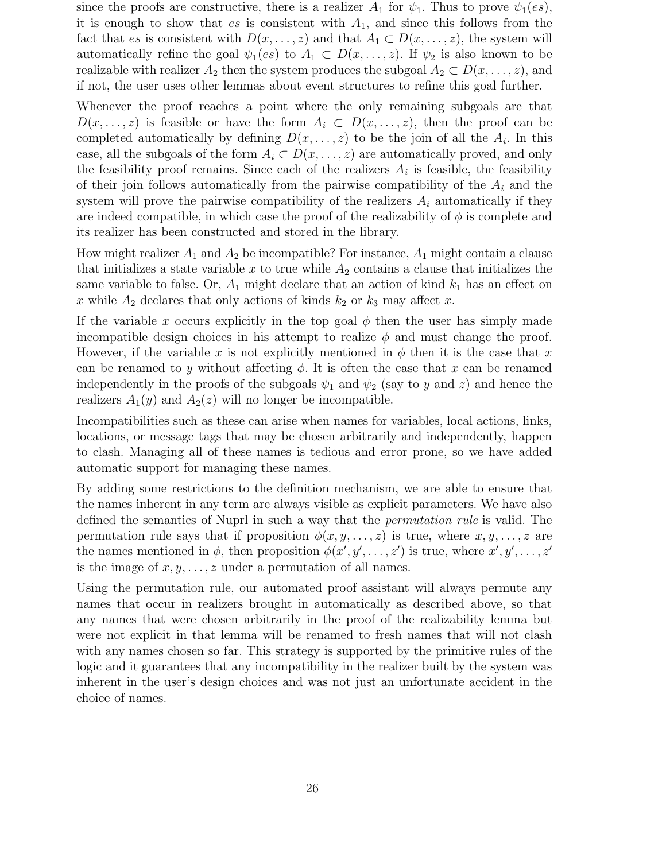since the proofs are constructive, there is a realizer  $A_1$  for  $\psi_1$ . Thus to prove  $\psi_1(es)$ , it is enough to show that es is consistent with  $A_1$ , and since this follows from the fact that es is consistent with  $D(x, \ldots, z)$  and that  $A_1 \subset D(x, \ldots, z)$ , the system will automatically refine the goal  $\psi_1(es)$  to  $A_1 \subset D(x, \ldots, z)$ . If  $\psi_2$  is also known to be realizable with realizer  $A_2$  then the system produces the subgoal  $A_2 \subset D(x, \ldots, z)$ , and if not, the user uses other lemmas about event structures to refine this goal further.

Whenever the proof reaches a point where the only remaining subgoals are that  $D(x, \ldots, z)$  is feasible or have the form  $A_i \subset D(x, \ldots, z)$ , then the proof can be completed automatically by defining  $D(x, \ldots, z)$  to be the join of all the  $A_i$ . In this case, all the subgoals of the form  $A_i \subset D(x, \ldots, z)$  are automatically proved, and only the feasibility proof remains. Since each of the realizers  $A_i$  is feasible, the feasibility of their join follows automatically from the pairwise compatibility of the  $A_i$  and the system will prove the pairwise compatibility of the realizers  $A_i$  automatically if they are indeed compatible, in which case the proof of the realizability of  $\phi$  is complete and its realizer has been constructed and stored in the library.

How might realizer  $A_1$  and  $A_2$  be incompatible? For instance,  $A_1$  might contain a clause that initializes a state variable x to true while  $A_2$  contains a clause that initializes the same variable to false. Or,  $A_1$  might declare that an action of kind  $k_1$  has an effect on x while  $A_2$  declares that only actions of kinds  $k_2$  or  $k_3$  may affect x.

If the variable x occurs explicitly in the top goal  $\phi$  then the user has simply made incompatible design choices in his attempt to realize  $\phi$  and must change the proof. However, if the variable x is not explicitly mentioned in  $\phi$  then it is the case that x can be renamed to y without affecting  $\phi$ . It is often the case that x can be renamed independently in the proofs of the subgoals  $\psi_1$  and  $\psi_2$  (say to y and z) and hence the realizers  $A_1(y)$  and  $A_2(z)$  will no longer be incompatible.

Incompatibilities such as these can arise when names for variables, local actions, links, locations, or message tags that may be chosen arbitrarily and independently, happen to clash. Managing all of these names is tedious and error prone, so we have added automatic support for managing these names.

By adding some restrictions to the definition mechanism, we are able to ensure that the names inherent in any term are always visible as explicit parameters. We have also defined the semantics of Nuprl in such a way that the permutation rule is valid. The permutation rule says that if proposition  $\phi(x, y, \ldots, z)$  is true, where  $x, y, \ldots, z$  are the names mentioned in  $\phi$ , then proposition  $\phi(x', y', \ldots, z')$  is true, where  $x', y', \ldots, z'$ is the image of  $x, y, \ldots, z$  under a permutation of all names.

Using the permutation rule, our automated proof assistant will always permute any names that occur in realizers brought in automatically as described above, so that any names that were chosen arbitrarily in the proof of the realizability lemma but were not explicit in that lemma will be renamed to fresh names that will not clash with any names chosen so far. This strategy is supported by the primitive rules of the logic and it guarantees that any incompatibility in the realizer built by the system was inherent in the user's design choices and was not just an unfortunate accident in the choice of names.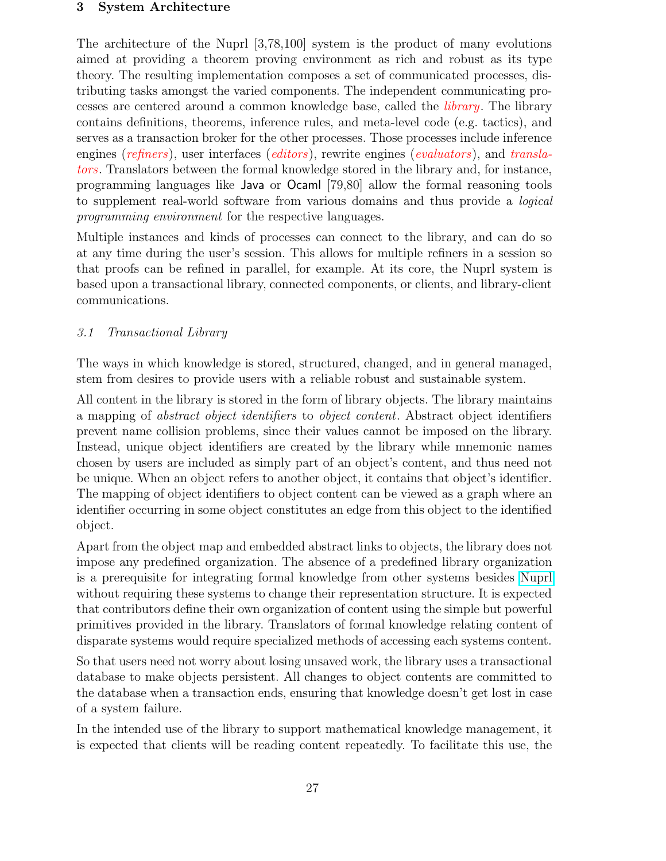### 3 System Architecture

The architecture of the Nuprl [3,78,100] system is the product of many evolutions aimed at providing a theorem proving environment as rich and robust as its type theory. The resulting implementation composes a set of communicated processes, distributing tasks amongst the varied components. The independent communicating processes are centered around a common knowledge base, called the library. The library contains definitions, theorems, inference rules, and meta-level code (e.g. tactics), and serves as a transaction broker for the other processes. Those processes include inference engines (*refiners*), user interfaces (*editors*), rewrite engines (*evaluators*), and *transla*tors. Translators between the formal knowledge stored in the library and, for instance, programming languages like Java or Ocaml [79,80] allow the formal reasoning tools to supplement real-world software from various domains and thus provide a logical programming environment for the respective languages.

Multiple instances and kinds of processes can connect to the library, and can do so at any time during the user's session. This allows for multiple refiners in a session so that proofs can be refined in parallel, for example. At its core, the Nuprl system is based upon a transactional library, connected components, or clients, and library-client communications.

# 3.1 Transactional Library

The ways in which knowledge is stored, structured, changed, and in general managed, stem from desires to provide users with a reliable robust and sustainable system.

All content in the library is stored in the form of library objects. The library maintains a mapping of abstract object identifiers to object content. Abstract object identifiers prevent name collision problems, since their values cannot be imposed on the library. Instead, unique object identifiers are created by the library while mnemonic names chosen by users are included as simply part of an object's content, and thus need not be unique. When an object refers to another object, it contains that object's identifier. The mapping of object identifiers to object content can be viewed as a graph where an identifier occurring in some object constitutes an edge from this object to the identified object.

Apart from the object map and embedded abstract links to objects, the library does not impose any predefined organization. The absence of a predefined library organization is a prerequisite for integrating formal knowledge from other systems besides [Nuprl](http://www.nuprl.org) without requiring these systems to change their representation structure. It is expected that contributors define their own organization of content using the simple but powerful primitives provided in the library. Translators of formal knowledge relating content of disparate systems would require specialized methods of accessing each systems content.

So that users need not worry about losing unsaved work, the library uses a transactional database to make objects persistent. All changes to object contents are committed to the database when a transaction ends, ensuring that knowledge doesn't get lost in case of a system failure.

In the intended use of the library to support mathematical knowledge management, it is expected that clients will be reading content repeatedly. To facilitate this use, the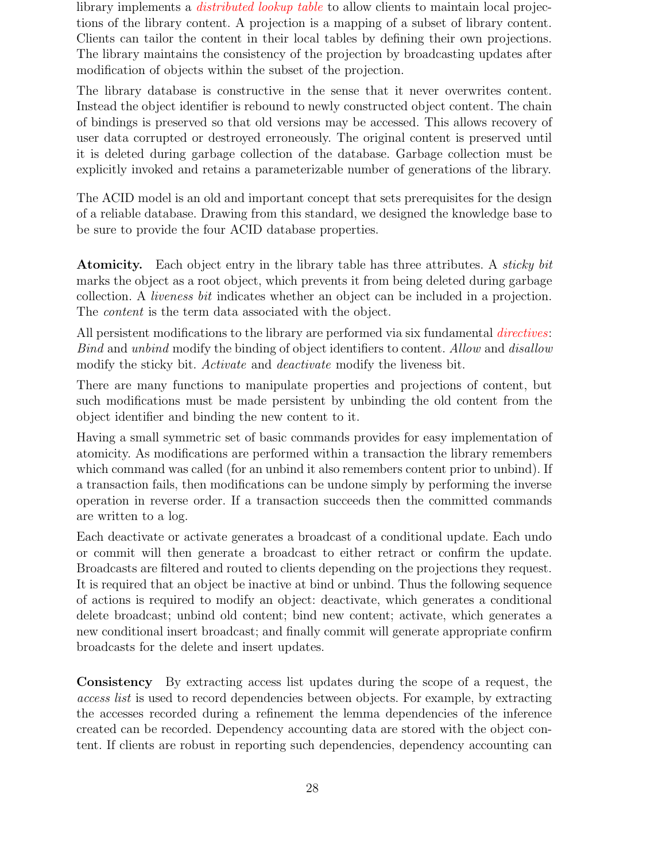library implements a *distributed lookup table* to allow clients to maintain local projections of the library content. A projection is a mapping of a subset of library content. Clients can tailor the content in their local tables by defining their own projections. The library maintains the consistency of the projection by broadcasting updates after modification of objects within the subset of the projection.

The library database is constructive in the sense that it never overwrites content. Instead the object identifier is rebound to newly constructed object content. The chain of bindings is preserved so that old versions may be accessed. This allows recovery of user data corrupted or destroyed erroneously. The original content is preserved until it is deleted during garbage collection of the database. Garbage collection must be explicitly invoked and retains a parameterizable number of generations of the library.

The ACID model is an old and important concept that sets prerequisites for the design of a reliable database. Drawing from this standard, we designed the knowledge base to be sure to provide the four ACID database properties.

Atomicity. Each object entry in the library table has three attributes. A *sticky bit* marks the object as a root object, which prevents it from being deleted during garbage collection. A liveness bit indicates whether an object can be included in a projection. The *content* is the term data associated with the object.

All persistent modifications to the library are performed via six fundamental *directives*: Bind and unbind modify the binding of object identifiers to content. Allow and disallow modify the sticky bit. Activate and *deactivate* modify the liveness bit.

There are many functions to manipulate properties and projections of content, but such modifications must be made persistent by unbinding the old content from the object identifier and binding the new content to it.

Having a small symmetric set of basic commands provides for easy implementation of atomicity. As modifications are performed within a transaction the library remembers which command was called (for an unbind it also remembers content prior to unbind). If a transaction fails, then modifications can be undone simply by performing the inverse operation in reverse order. If a transaction succeeds then the committed commands are written to a log.

Each deactivate or activate generates a broadcast of a conditional update. Each undo or commit will then generate a broadcast to either retract or confirm the update. Broadcasts are filtered and routed to clients depending on the projections they request. It is required that an object be inactive at bind or unbind. Thus the following sequence of actions is required to modify an object: deactivate, which generates a conditional delete broadcast; unbind old content; bind new content; activate, which generates a new conditional insert broadcast; and finally commit will generate appropriate confirm broadcasts for the delete and insert updates.

Consistency By extracting access list updates during the scope of a request, the access list is used to record dependencies between objects. For example, by extracting the accesses recorded during a refinement the lemma dependencies of the inference created can be recorded. Dependency accounting data are stored with the object content. If clients are robust in reporting such dependencies, dependency accounting can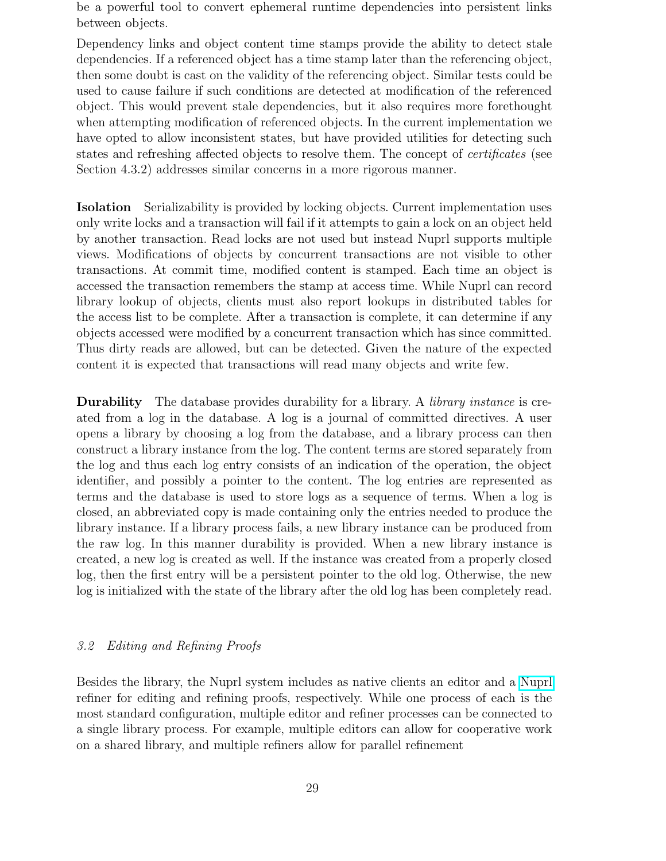be a powerful tool to convert ephemeral runtime dependencies into persistent links between objects.

Dependency links and object content time stamps provide the ability to detect stale dependencies. If a referenced object has a time stamp later than the referencing object, then some doubt is cast on the validity of the referencing object. Similar tests could be used to cause failure if such conditions are detected at modification of the referenced object. This would prevent stale dependencies, but it also requires more forethought when attempting modification of referenced objects. In the current implementation we have opted to allow inconsistent states, but have provided utilities for detecting such states and refreshing affected objects to resolve them. The concept of certificates (see Section 4.3.2) addresses similar concerns in a more rigorous manner.

Isolation Serializability is provided by locking objects. Current implementation uses only write locks and a transaction will fail if it attempts to gain a lock on an object held by another transaction. Read locks are not used but instead Nuprl supports multiple views. Modifications of objects by concurrent transactions are not visible to other transactions. At commit time, modified content is stamped. Each time an object is accessed the transaction remembers the stamp at access time. While Nuprl can record library lookup of objects, clients must also report lookups in distributed tables for the access list to be complete. After a transaction is complete, it can determine if any objects accessed were modified by a concurrent transaction which has since committed. Thus dirty reads are allowed, but can be detected. Given the nature of the expected content it is expected that transactions will read many objects and write few.

Durability The database provides durability for a library. A *library instance* is created from a log in the database. A log is a journal of committed directives. A user opens a library by choosing a log from the database, and a library process can then construct a library instance from the log. The content terms are stored separately from the log and thus each log entry consists of an indication of the operation, the object identifier, and possibly a pointer to the content. The log entries are represented as terms and the database is used to store logs as a sequence of terms. When a log is closed, an abbreviated copy is made containing only the entries needed to produce the library instance. If a library process fails, a new library instance can be produced from the raw log. In this manner durability is provided. When a new library instance is created, a new log is created as well. If the instance was created from a properly closed log, then the first entry will be a persistent pointer to the old log. Otherwise, the new log is initialized with the state of the library after the old log has been completely read.

### 3.2 Editing and Refining Proofs

Besides the library, the Nuprl system includes as native clients an editor and a [Nuprl](http://www.nuprl.org) refiner for editing and refining proofs, respectively. While one process of each is the most standard configuration, multiple editor and refiner processes can be connected to a single library process. For example, multiple editors can allow for cooperative work on a shared library, and multiple refiners allow for parallel refinement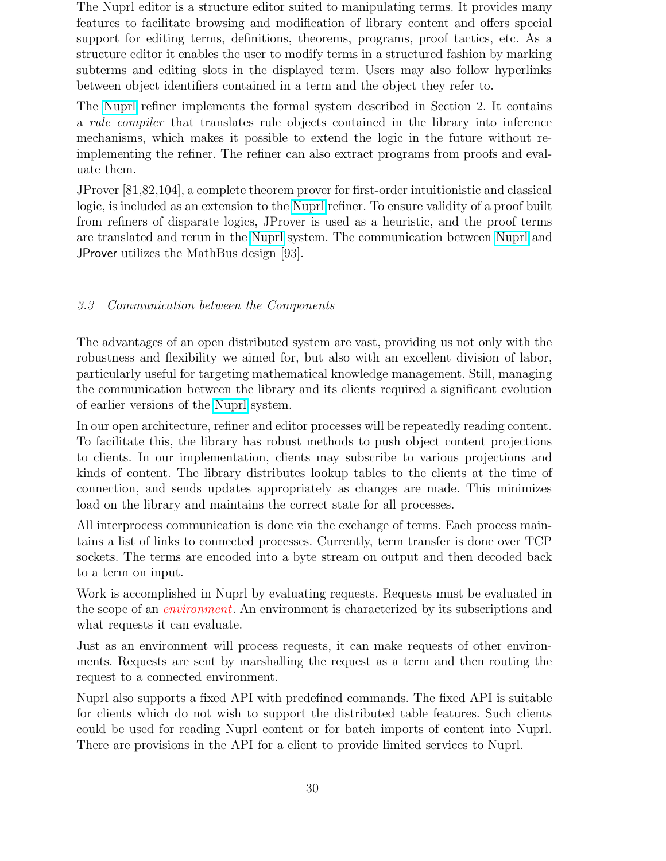The Nuprl editor is a structure editor suited to manipulating terms. It provides many features to facilitate browsing and modification of library content and offers special support for editing terms, definitions, theorems, programs, proof tactics, etc. As a structure editor it enables the user to modify terms in a structured fashion by marking subterms and editing slots in the displayed term. Users may also follow hyperlinks between object identifiers contained in a term and the object they refer to.

The [Nuprl](http://www.nuprl.org) refiner implements the formal system described in Section 2. It contains a rule compiler that translates rule objects contained in the library into inference mechanisms, which makes it possible to extend the logic in the future without reimplementing the refiner. The refiner can also extract programs from proofs and evaluate them.

JProver [81,82,104], a complete theorem prover for first-order intuitionistic and classical logic, is included as an extension to the [Nuprl](http://www.nuprl.org) refiner. To ensure validity of a proof built from refiners of disparate logics, JProver is used as a heuristic, and the proof terms are translated and rerun in the [Nuprl](http://www.nuprl.org) system. The communication between [Nuprl](http://www.nuprl.org) and JProver utilizes the MathBus design [93].

# 3.3 Communication between the Components

The advantages of an open distributed system are vast, providing us not only with the robustness and flexibility we aimed for, but also with an excellent division of labor, particularly useful for targeting mathematical knowledge management. Still, managing the communication between the library and its clients required a significant evolution of earlier versions of the [Nuprl](http://www.nuprl.org) system.

In our open architecture, refiner and editor processes will be repeatedly reading content. To facilitate this, the library has robust methods to push object content projections to clients. In our implementation, clients may subscribe to various projections and kinds of content. The library distributes lookup tables to the clients at the time of connection, and sends updates appropriately as changes are made. This minimizes load on the library and maintains the correct state for all processes.

All interprocess communication is done via the exchange of terms. Each process maintains a list of links to connected processes. Currently, term transfer is done over TCP sockets. The terms are encoded into a byte stream on output and then decoded back to a term on input.

Work is accomplished in Nuprl by evaluating requests. Requests must be evaluated in the scope of an *environment*. An environment is characterized by its subscriptions and what requests it can evaluate.

Just as an environment will process requests, it can make requests of other environments. Requests are sent by marshalling the request as a term and then routing the request to a connected environment.

Nuprl also supports a fixed API with predefined commands. The fixed API is suitable for clients which do not wish to support the distributed table features. Such clients could be used for reading Nuprl content or for batch imports of content into Nuprl. There are provisions in the API for a client to provide limited services to Nuprl.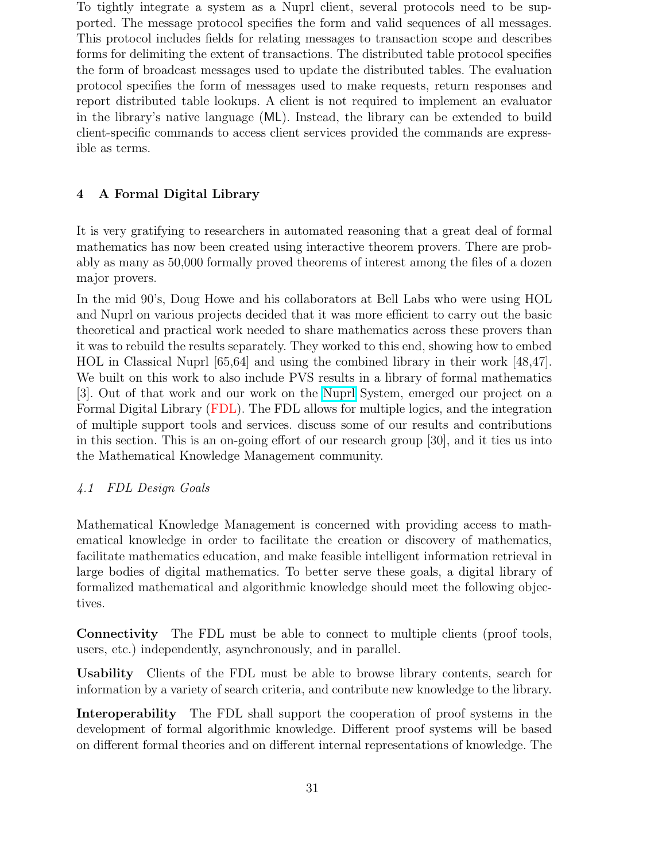To tightly integrate a system as a Nuprl client, several protocols need to be supported. The message protocol specifies the form and valid sequences of all messages. This protocol includes fields for relating messages to transaction scope and describes forms for delimiting the extent of transactions. The distributed table protocol specifies the form of broadcast messages used to update the distributed tables. The evaluation protocol specifies the form of messages used to make requests, return responses and report distributed table lookups. A client is not required to implement an evaluator in the library's native language (ML). Instead, the library can be extended to build client-specific commands to access client services provided the commands are expressible as terms.

# 4 A Formal Digital Library

It is very gratifying to researchers in automated reasoning that a great deal of formal mathematics has now been created using interactive theorem provers. There are probably as many as 50,000 formally proved theorems of interest among the files of a dozen major provers.

In the mid 90's, Doug Howe and his collaborators at Bell Labs who were using HOL and Nuprl on various projects decided that it was more efficient to carry out the basic theoretical and practical work needed to share mathematics across these provers than it was to rebuild the results separately. They worked to this end, showing how to embed HOL in Classical Nuprl [65,64] and using the combined library in their work [48,47]. We built on this work to also include PVS results in a library of formal mathematics [3]. Out of that work and our work on the [Nuprl](http://www.nuprl.org) System, emerged our project on a Formal Digital Library (FDL). The FDL allows for multiple logics, and the integration of multiple support tools and services. discuss some of our results and contributions in this section. This is an on-going effort of our research group [30], and it ties us into the Mathematical Knowledge Management community.

# 4.1 FDL Design Goals

Mathematical Knowledge Management is concerned with providing access to mathematical knowledge in order to facilitate the creation or discovery of mathematics, facilitate mathematics education, and make feasible intelligent information retrieval in large bodies of digital mathematics. To better serve these goals, a digital library of formalized mathematical and algorithmic knowledge should meet the following objectives.

Connectivity The FDL must be able to connect to multiple clients (proof tools, users, etc.) independently, asynchronously, and in parallel.

Usability Clients of the FDL must be able to browse library contents, search for information by a variety of search criteria, and contribute new knowledge to the library.

Interoperability The FDL shall support the cooperation of proof systems in the development of formal algorithmic knowledge. Different proof systems will be based on different formal theories and on different internal representations of knowledge. The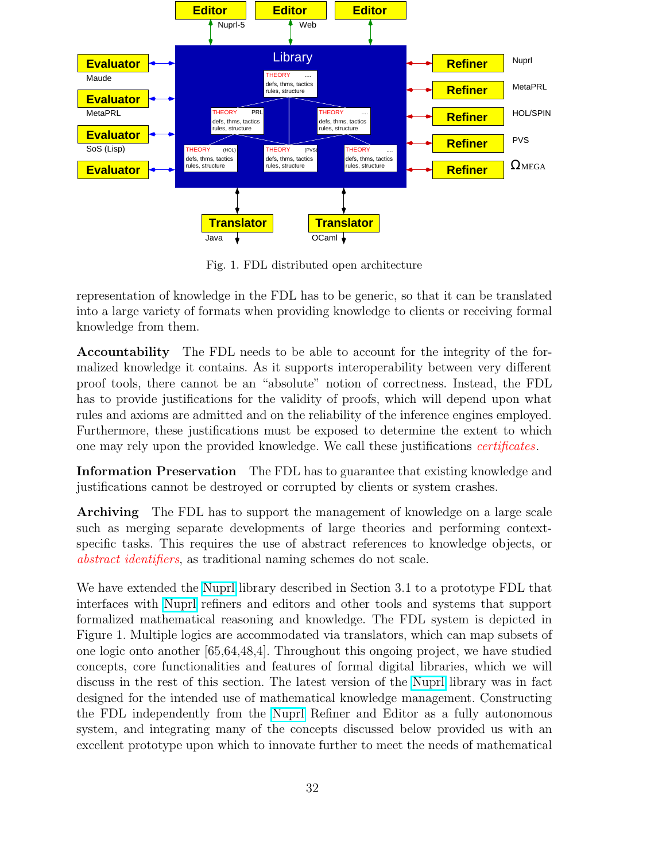

Fig. 1. FDL distributed open architecture

representation of knowledge in the FDL has to be generic, so that it can be translated into a large variety of formats when providing knowledge to clients or receiving formal knowledge from them.

Accountability The FDL needs to be able to account for the integrity of the formalized knowledge it contains. As it supports interoperability between very different proof tools, there cannot be an "absolute" notion of correctness. Instead, the FDL has to provide justifications for the validity of proofs, which will depend upon what rules and axioms are admitted and on the reliability of the inference engines employed. Furthermore, these justifications must be exposed to determine the extent to which one may rely upon the provided knowledge. We call these justifications certificates.

Information Preservation The FDL has to guarantee that existing knowledge and justifications cannot be destroyed or corrupted by clients or system crashes.

Archiving The FDL has to support the management of knowledge on a large scale such as merging separate developments of large theories and performing contextspecific tasks. This requires the use of abstract references to knowledge objects, or abstract identifiers, as traditional naming schemes do not scale.

We have extended the [Nuprl](http://www.nuprl.org) library described in Section 3.1 to a prototype FDL that interfaces with [Nuprl](http://www.nuprl.org) refiners and editors and other tools and systems that support formalized mathematical reasoning and knowledge. The FDL system is depicted in Figure 1. Multiple logics are accommodated via translators, which can map subsets of one logic onto another [65,64,48,4]. Throughout this ongoing project, we have studied concepts, core functionalities and features of formal digital libraries, which we will discuss in the rest of this section. The latest version of the [Nuprl](http://www.nuprl.org) library was in fact designed for the intended use of mathematical knowledge management. Constructing the FDL independently from the [Nuprl](http://www.nuprl.org) Refiner and Editor as a fully autonomous system, and integrating many of the concepts discussed below provided us with an excellent prototype upon which to innovate further to meet the needs of mathematical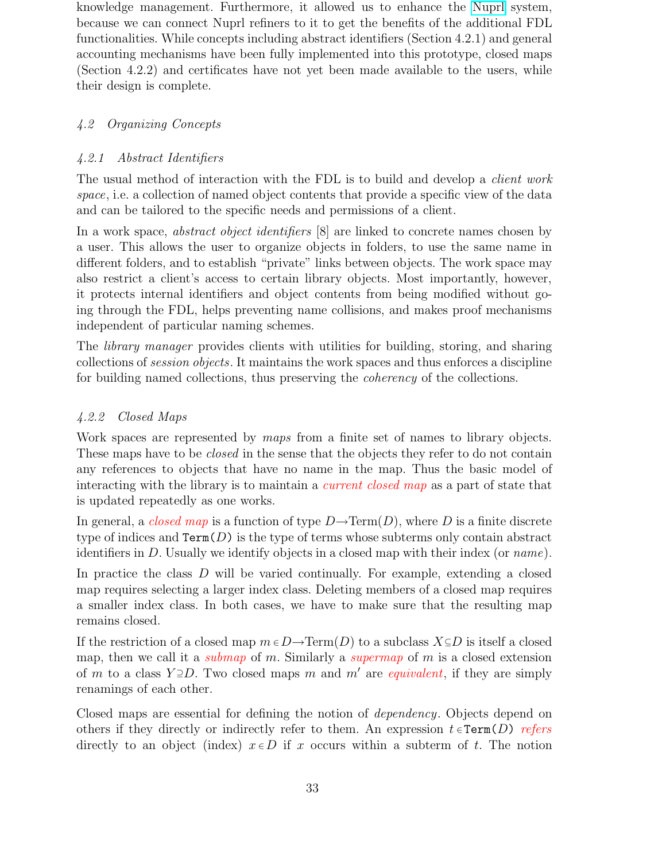knowledge management. Furthermore, it allowed us to enhance the [Nuprl](http://www.nuprl.org) system, because we can connect Nuprl refiners to it to get the benefits of the additional FDL functionalities. While concepts including abstract identifiers (Section 4.2.1) and general accounting mechanisms have been fully implemented into this prototype, closed maps (Section 4.2.2) and certificates have not yet been made available to the users, while their design is complete.

# 4.2 Organizing Concepts

# 4.2.1 Abstract Identifiers

The usual method of interaction with the FDL is to build and develop a *client work* space, i.e. a collection of named object contents that provide a specific view of the data and can be tailored to the specific needs and permissions of a client.

In a work space, *abstract object identifiers* [8] are linked to concrete names chosen by a user. This allows the user to organize objects in folders, to use the same name in different folders, and to establish "private" links between objects. The work space may also restrict a client's access to certain library objects. Most importantly, however, it protects internal identifiers and object contents from being modified without going through the FDL, helps preventing name collisions, and makes proof mechanisms independent of particular naming schemes.

The *library manager* provides clients with utilities for building, storing, and sharing collections of session objects. It maintains the work spaces and thus enforces a discipline for building named collections, thus preserving the coherency of the collections.

# 4.2.2 Closed Maps

Work spaces are represented by maps from a finite set of names to library objects. These maps have to be *closed* in the sense that the objects they refer to do not contain any references to objects that have no name in the map. Thus the basic model of interacting with the library is to maintain a *current closed map* as a part of state that is updated repeatedly as one works.

In general, a *closed map* is a function of type  $D\rightarrow\text{Term}(D)$ , where D is a finite discrete type of indices and  $Term(D)$  is the type of terms whose subterms only contain abstract identifiers in D. Usually we identify objects in a closed map with their index (or  $name$ ).

In practice the class D will be varied continually. For example, extending a closed map requires selecting a larger index class. Deleting members of a closed map requires a smaller index class. In both cases, we have to make sure that the resulting map remains closed.

If the restriction of a closed map  $m \in D \to Term(D)$  to a subclass  $X \subseteq D$  is itself a closed map, then we call it a *submap* of m. Similarly a *supermap* of m is a closed extension of m to a class  $Y \supseteq D$ . Two closed maps m and m' are *equivalent*, if they are simply renamings of each other.

Closed maps are essential for defining the notion of dependency. Objects depend on others if they directly or indirectly refer to them. An expression  $t \in Term(D)$  refers directly to an object (index)  $x \in D$  if x occurs within a subterm of t. The notion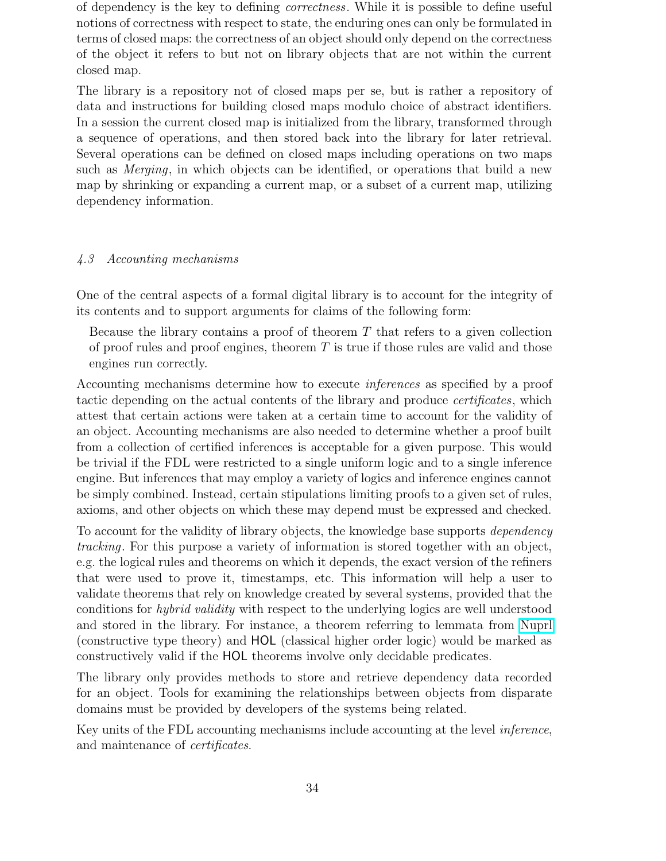of dependency is the key to defining *correctness*. While it is possible to define useful notions of correctness with respect to state, the enduring ones can only be formulated in terms of closed maps: the correctness of an object should only depend on the correctness of the object it refers to but not on library objects that are not within the current closed map.

The library is a repository not of closed maps per se, but is rather a repository of data and instructions for building closed maps modulo choice of abstract identifiers. In a session the current closed map is initialized from the library, transformed through a sequence of operations, and then stored back into the library for later retrieval. Several operations can be defined on closed maps including operations on two maps such as Merging, in which objects can be identified, or operations that build a new map by shrinking or expanding a current map, or a subset of a current map, utilizing dependency information.

### 4.3 Accounting mechanisms

One of the central aspects of a formal digital library is to account for the integrity of its contents and to support arguments for claims of the following form:

Because the library contains a proof of theorem  $T$  that refers to a given collection of proof rules and proof engines, theorem  $T$  is true if those rules are valid and those engines run correctly.

Accounting mechanisms determine how to execute inferences as specified by a proof tactic depending on the actual contents of the library and produce certificates, which attest that certain actions were taken at a certain time to account for the validity of an object. Accounting mechanisms are also needed to determine whether a proof built from a collection of certified inferences is acceptable for a given purpose. This would be trivial if the FDL were restricted to a single uniform logic and to a single inference engine. But inferences that may employ a variety of logics and inference engines cannot be simply combined. Instead, certain stipulations limiting proofs to a given set of rules, axioms, and other objects on which these may depend must be expressed and checked.

To account for the validity of library objects, the knowledge base supports *dependency* tracking. For this purpose a variety of information is stored together with an object, e.g. the logical rules and theorems on which it depends, the exact version of the refiners that were used to prove it, timestamps, etc. This information will help a user to validate theorems that rely on knowledge created by several systems, provided that the conditions for hybrid validity with respect to the underlying logics are well understood and stored in the library. For instance, a theorem referring to lemmata from [Nuprl](http://www.nuprl.org) (constructive type theory) and HOL (classical higher order logic) would be marked as constructively valid if the HOL theorems involve only decidable predicates.

The library only provides methods to store and retrieve dependency data recorded for an object. Tools for examining the relationships between objects from disparate domains must be provided by developers of the systems being related.

Key units of the FDL accounting mechanisms include accounting at the level inference, and maintenance of certificates.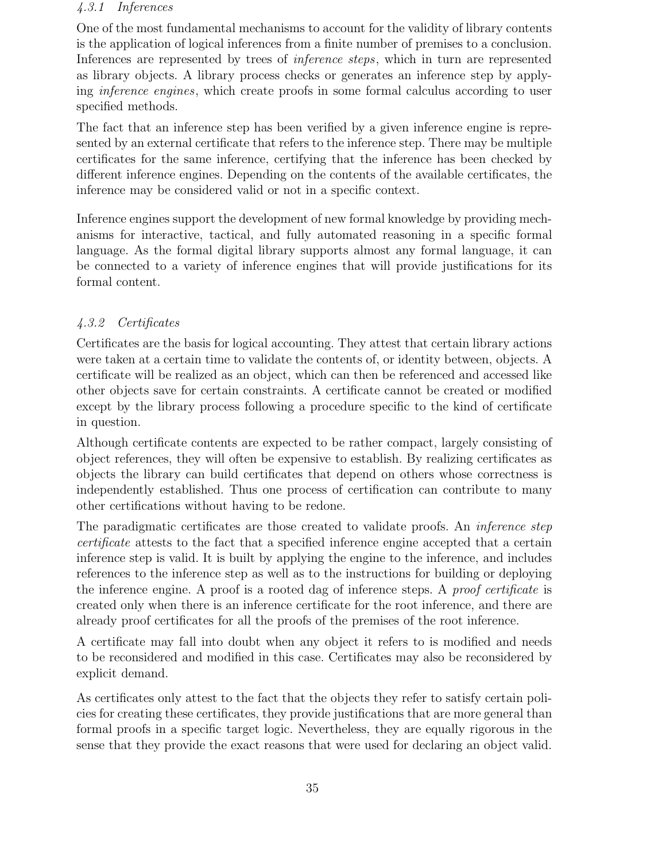## 4.3.1 Inferences

One of the most fundamental mechanisms to account for the validity of library contents is the application of logical inferences from a finite number of premises to a conclusion. Inferences are represented by trees of inference steps, which in turn are represented as library objects. A library process checks or generates an inference step by applying inference engines, which create proofs in some formal calculus according to user specified methods.

The fact that an inference step has been verified by a given inference engine is represented by an external certificate that refers to the inference step. There may be multiple certificates for the same inference, certifying that the inference has been checked by different inference engines. Depending on the contents of the available certificates, the inference may be considered valid or not in a specific context.

Inference engines support the development of new formal knowledge by providing mechanisms for interactive, tactical, and fully automated reasoning in a specific formal language. As the formal digital library supports almost any formal language, it can be connected to a variety of inference engines that will provide justifications for its formal content.

# 4.3.2 Certificates

Certificates are the basis for logical accounting. They attest that certain library actions were taken at a certain time to validate the contents of, or identity between, objects. A certificate will be realized as an object, which can then be referenced and accessed like other objects save for certain constraints. A certificate cannot be created or modified except by the library process following a procedure specific to the kind of certificate in question.

Although certificate contents are expected to be rather compact, largely consisting of object references, they will often be expensive to establish. By realizing certificates as objects the library can build certificates that depend on others whose correctness is independently established. Thus one process of certification can contribute to many other certifications without having to be redone.

The paradigmatic certificates are those created to validate proofs. An *inference step* certificate attests to the fact that a specified inference engine accepted that a certain inference step is valid. It is built by applying the engine to the inference, and includes references to the inference step as well as to the instructions for building or deploying the inference engine. A proof is a rooted dag of inference steps. A proof certificate is created only when there is an inference certificate for the root inference, and there are already proof certificates for all the proofs of the premises of the root inference.

A certificate may fall into doubt when any object it refers to is modified and needs to be reconsidered and modified in this case. Certificates may also be reconsidered by explicit demand.

As certificates only attest to the fact that the objects they refer to satisfy certain policies for creating these certificates, they provide justifications that are more general than formal proofs in a specific target logic. Nevertheless, they are equally rigorous in the sense that they provide the exact reasons that were used for declaring an object valid.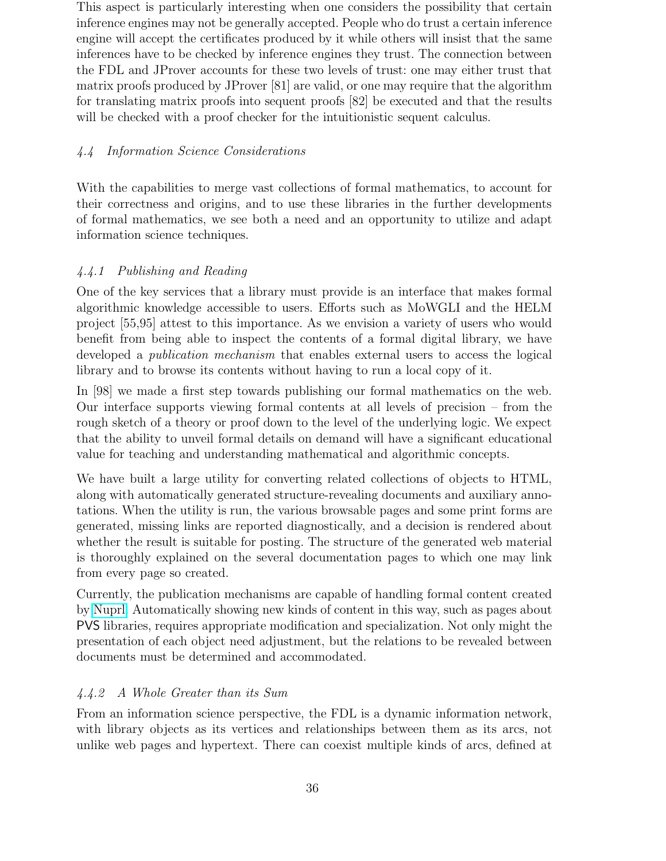This aspect is particularly interesting when one considers the possibility that certain inference engines may not be generally accepted. People who do trust a certain inference engine will accept the certificates produced by it while others will insist that the same inferences have to be checked by inference engines they trust. The connection between the FDL and JProver accounts for these two levels of trust: one may either trust that matrix proofs produced by JProver [81] are valid, or one may require that the algorithm for translating matrix proofs into sequent proofs [82] be executed and that the results will be checked with a proof checker for the intuitionistic sequent calculus.

# 4.4 Information Science Considerations

With the capabilities to merge vast collections of formal mathematics, to account for their correctness and origins, and to use these libraries in the further developments of formal mathematics, we see both a need and an opportunity to utilize and adapt information science techniques.

# 4.4.1 Publishing and Reading

One of the key services that a library must provide is an interface that makes formal algorithmic knowledge accessible to users. Efforts such as MoWGLI and the HELM project [55,95] attest to this importance. As we envision a variety of users who would benefit from being able to inspect the contents of a formal digital library, we have developed a *publication mechanism* that enables external users to access the logical library and to browse its contents without having to run a local copy of it.

In [98] we made a first step towards publishing our formal mathematics on the web. Our interface supports viewing formal contents at all levels of precision – from the rough sketch of a theory or proof down to the level of the underlying logic. We expect that the ability to unveil formal details on demand will have a significant educational value for teaching and understanding mathematical and algorithmic concepts.

We have built a large utility for converting related collections of objects to HTML, along with automatically generated structure-revealing documents and auxiliary annotations. When the utility is run, the various browsable pages and some print forms are generated, missing links are reported diagnostically, and a decision is rendered about whether the result is suitable for posting. The structure of the generated web material is thoroughly explained on the several documentation pages to which one may link from every page so created.

Currently, the publication mechanisms are capable of handling formal content created by [Nuprl.](http://www.nuprl.org) Automatically showing new kinds of content in this way, such as pages about PVS libraries, requires appropriate modification and specialization. Not only might the presentation of each object need adjustment, but the relations to be revealed between documents must be determined and accommodated.

# 4.4.2 A Whole Greater than its Sum

From an information science perspective, the FDL is a dynamic information network, with library objects as its vertices and relationships between them as its arcs, not unlike web pages and hypertext. There can coexist multiple kinds of arcs, defined at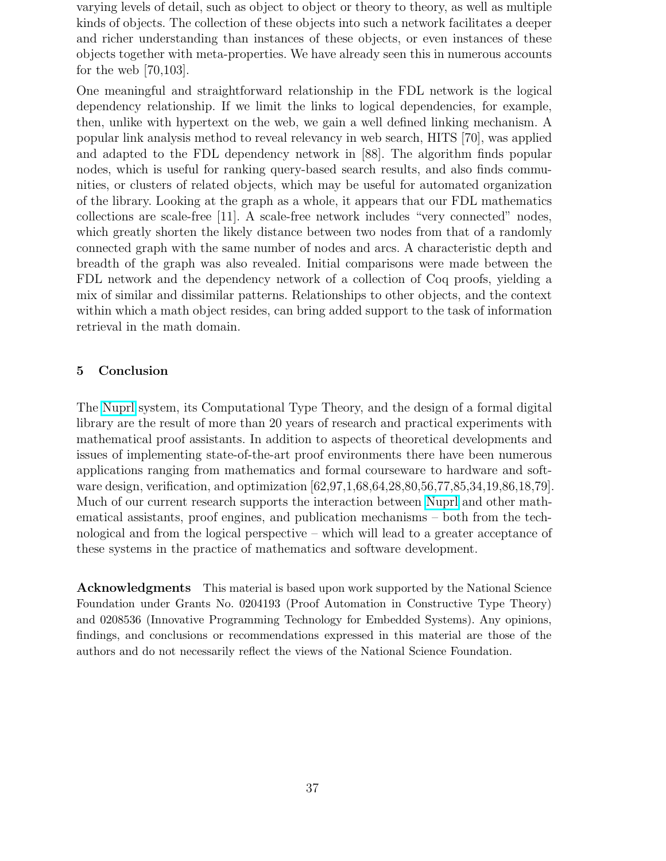varying levels of detail, such as object to object or theory to theory, as well as multiple kinds of objects. The collection of these objects into such a network facilitates a deeper and richer understanding than instances of these objects, or even instances of these objects together with meta-properties. We have already seen this in numerous accounts for the web [70,103].

One meaningful and straightforward relationship in the FDL network is the logical dependency relationship. If we limit the links to logical dependencies, for example, then, unlike with hypertext on the web, we gain a well defined linking mechanism. A popular link analysis method to reveal relevancy in web search, HITS [70], was applied and adapted to the FDL dependency network in [88]. The algorithm finds popular nodes, which is useful for ranking query-based search results, and also finds communities, or clusters of related objects, which may be useful for automated organization of the library. Looking at the graph as a whole, it appears that our FDL mathematics collections are scale-free [11]. A scale-free network includes "very connected" nodes, which greatly shorten the likely distance between two nodes from that of a randomly connected graph with the same number of nodes and arcs. A characteristic depth and breadth of the graph was also revealed. Initial comparisons were made between the FDL network and the dependency network of a collection of Coq proofs, yielding a mix of similar and dissimilar patterns. Relationships to other objects, and the context within which a math object resides, can bring added support to the task of information retrieval in the math domain.

### 5 Conclusion

The [Nuprl](http://www.nuprl.org) system, its Computational Type Theory, and the design of a formal digital library are the result of more than 20 years of research and practical experiments with mathematical proof assistants. In addition to aspects of theoretical developments and issues of implementing state-of-the-art proof environments there have been numerous applications ranging from mathematics and formal courseware to hardware and software design, verification, and optimization [62,97,1,68,64,28,80,56,77,85,34,19,86,18,79]. Much of our current research supports the interaction between [Nuprl](http://www.nuprl.org) and other mathematical assistants, proof engines, and publication mechanisms – both from the technological and from the logical perspective – which will lead to a greater acceptance of these systems in the practice of mathematics and software development.

Acknowledgments This material is based upon work supported by the National Science Foundation under Grants No. 0204193 (Proof Automation in Constructive Type Theory) and 0208536 (Innovative Programming Technology for Embedded Systems). Any opinions, findings, and conclusions or recommendations expressed in this material are those of the authors and do not necessarily reflect the views of the National Science Foundation.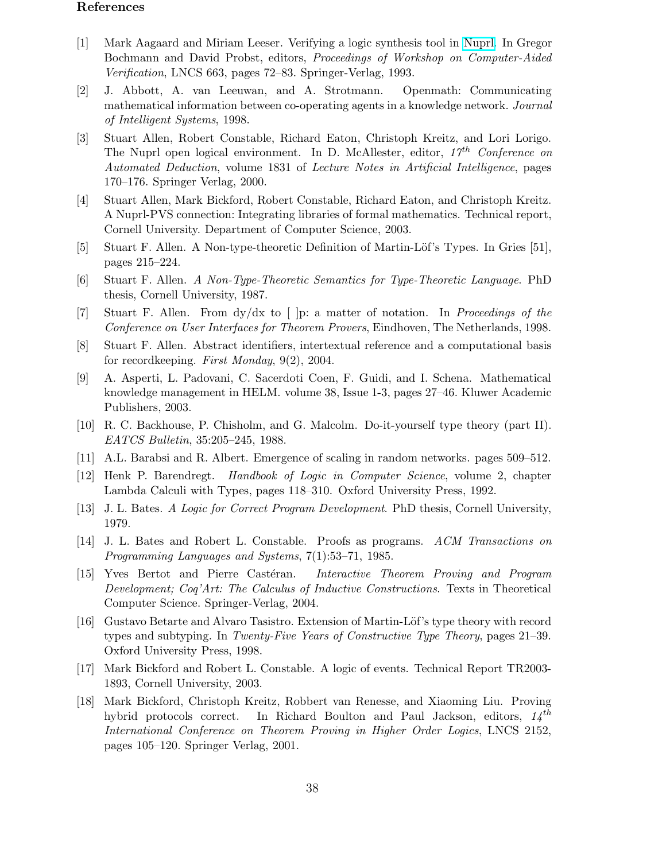#### References

- [1] Mark Aagaard and Miriam Leeser. Verifying a logic synthesis tool in [Nuprl.](http://www.nuprl.org) In Gregor Bochmann and David Probst, editors, Proceedings of Workshop on Computer-Aided Verification, LNCS 663, pages 72–83. Springer-Verlag, 1993.
- [2] J. Abbott, A. van Leeuwan, and A. Strotmann. Openmath: Communicating mathematical information between co-operating agents in a knowledge network. Journal of Intelligent Systems, 1998.
- [3] Stuart Allen, Robert Constable, Richard Eaton, Christoph Kreitz, and Lori Lorigo. The Nuprl open logical environment. In D. McAllester, editor,  $17<sup>th</sup>$  Conference on Automated Deduction, volume 1831 of Lecture Notes in Artificial Intelligence, pages 170–176. Springer Verlag, 2000.
- [4] Stuart Allen, Mark Bickford, Robert Constable, Richard Eaton, and Christoph Kreitz. A Nuprl-PVS connection: Integrating libraries of formal mathematics. Technical report, Cornell University. Department of Computer Science, 2003.
- [5] Stuart F. Allen. A Non-type-theoretic Definition of Martin-Löf's Types. In Gries [51], pages 215–224.
- [6] Stuart F. Allen. A Non-Type-Theoretic Semantics for Type-Theoretic Language. PhD thesis, Cornell University, 1987.
- [7] Stuart F. Allen. From  $dy/dx$  to  $\int$  p: a matter of notation. In *Proceedings of the* Conference on User Interfaces for Theorem Provers, Eindhoven, The Netherlands, 1998.
- [8] Stuart F. Allen. Abstract identifiers, intertextual reference and a computational basis for recordkeeping. First Monday, 9(2), 2004.
- [9] A. Asperti, L. Padovani, C. Sacerdoti Coen, F. Guidi, and I. Schena. Mathematical knowledge management in HELM. volume 38, Issue 1-3, pages 27–46. Kluwer Academic Publishers, 2003.
- [10] R. C. Backhouse, P. Chisholm, and G. Malcolm. Do-it-yourself type theory (part II). EATCS Bulletin, 35:205–245, 1988.
- [11] A.L. Barabsi and R. Albert. Emergence of scaling in random networks. pages 509–512.
- [12] Henk P. Barendregt. Handbook of Logic in Computer Science, volume 2, chapter Lambda Calculi with Types, pages 118–310. Oxford University Press, 1992.
- [13] J. L. Bates. A Logic for Correct Program Development. PhD thesis, Cornell University, 1979.
- [14] J. L. Bates and Robert L. Constable. Proofs as programs. ACM Transactions on Programming Languages and Systems, 7(1):53–71, 1985.
- [15] Yves Bertot and Pierre Castéran. Interactive Theorem Proving and Program Development; Coq'Art: The Calculus of Inductive Constructions. Texts in Theoretical Computer Science. Springer-Verlag, 2004.
- [16] Gustavo Betarte and Alvaro Tasistro. Extension of Martin-Löf's type theory with record types and subtyping. In Twenty-Five Years of Constructive Type Theory, pages 21–39. Oxford University Press, 1998.
- [17] Mark Bickford and Robert L. Constable. A logic of events. Technical Report TR2003- 1893, Cornell University, 2003.
- [18] Mark Bickford, Christoph Kreitz, Robbert van Renesse, and Xiaoming Liu. Proving hybrid protocols correct. In Richard Boulton and Paul Jackson, editors,  $14^{th}$ International Conference on Theorem Proving in Higher Order Logics, LNCS 2152, pages 105–120. Springer Verlag, 2001.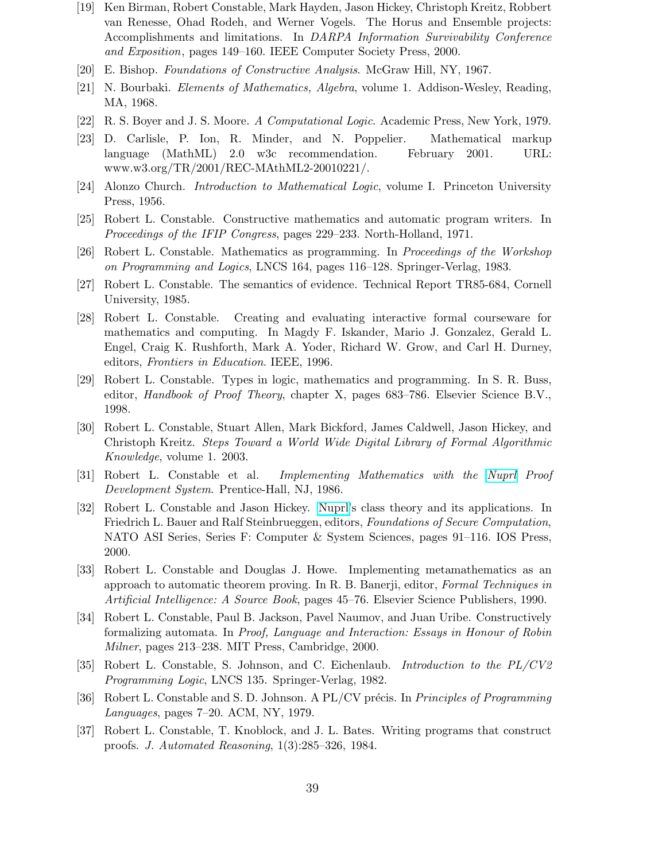- [19] Ken Birman, Robert Constable, Mark Hayden, Jason Hickey, Christoph Kreitz, Robbert van Renesse, Ohad Rodeh, and Werner Vogels. The Horus and Ensemble projects: Accomplishments and limitations. In DARPA Information Survivability Conference and Exposition, pages 149–160. IEEE Computer Society Press, 2000.
- [20] E. Bishop. Foundations of Constructive Analysis. McGraw Hill, NY, 1967.
- [21] N. Bourbaki. Elements of Mathematics, Algebra, volume 1. Addison-Wesley, Reading, MA, 1968.
- [22] R. S. Boyer and J. S. Moore. A Computational Logic. Academic Press, New York, 1979.
- [23] D. Carlisle, P. Ion, R. Minder, and N. Poppelier. Mathematical markup language (MathML) 2.0 w3c recommendation. February 2001. URL: www.w3.org/TR/2001/REC-MAthML2-20010221/.
- [24] Alonzo Church. Introduction to Mathematical Logic, volume I. Princeton University Press, 1956.
- [25] Robert L. Constable. Constructive mathematics and automatic program writers. In Proceedings of the IFIP Congress, pages 229–233. North-Holland, 1971.
- [26] Robert L. Constable. Mathematics as programming. In Proceedings of the Workshop on Programming and Logics, LNCS 164, pages 116–128. Springer-Verlag, 1983.
- [27] Robert L. Constable. The semantics of evidence. Technical Report TR85-684, Cornell University, 1985.
- [28] Robert L. Constable. Creating and evaluating interactive formal courseware for mathematics and computing. In Magdy F. Iskander, Mario J. Gonzalez, Gerald L. Engel, Craig K. Rushforth, Mark A. Yoder, Richard W. Grow, and Carl H. Durney, editors, Frontiers in Education. IEEE, 1996.
- [29] Robert L. Constable. Types in logic, mathematics and programming. In S. R. Buss, editor, Handbook of Proof Theory, chapter X, pages 683–786. Elsevier Science B.V., 1998.
- [30] Robert L. Constable, Stuart Allen, Mark Bickford, James Caldwell, Jason Hickey, and Christoph Kreitz. Steps Toward a World Wide Digital Library of Formal Algorithmic Knowledge, volume 1. 2003.
- [31] Robert L. Constable et al. Implementing Mathematics with the [Nuprl](http://www.nuprl.org) Proof Development System. Prentice-Hall, NJ, 1986.
- [32] Robert L. Constable and Jason Hickey. [Nuprl'](http://www.nuprl.org)s class theory and its applications. In Friedrich L. Bauer and Ralf Steinbrueggen, editors, *Foundations of Secure Computation*, NATO ASI Series, Series F: Computer & System Sciences, pages 91–116. IOS Press, 2000.
- [33] Robert L. Constable and Douglas J. Howe. Implementing metamathematics as an approach to automatic theorem proving. In R. B. Banerji, editor, Formal Techniques in Artificial Intelligence: A Source Book, pages 45–76. Elsevier Science Publishers, 1990.
- [34] Robert L. Constable, Paul B. Jackson, Pavel Naumov, and Juan Uribe. Constructively formalizing automata. In Proof, Language and Interaction: Essays in Honour of Robin Milner, pages 213–238. MIT Press, Cambridge, 2000.
- [35] Robert L. Constable, S. Johnson, and C. Eichenlaub. Introduction to the PL/CV2 Programming Logic, LNCS 135. Springer-Verlag, 1982.
- [36] Robert L. Constable and S. D. Johnson. A PL/CV précis. In *Principles of Programming* Languages, pages 7–20. ACM, NY, 1979.
- [37] Robert L. Constable, T. Knoblock, and J. L. Bates. Writing programs that construct proofs. J. Automated Reasoning, 1(3):285–326, 1984.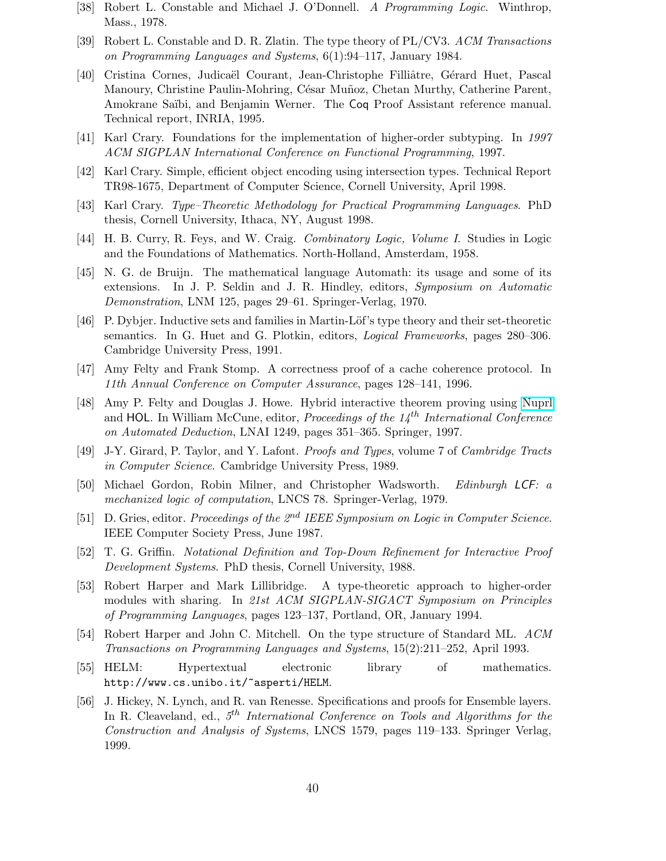- [38] Robert L. Constable and Michael J. O'Donnell. A Programming Logic. Winthrop, Mass., 1978.
- [39] Robert L. Constable and D. R. Zlatin. The type theory of PL/CV3. ACM Transactions on Programming Languages and Systems, 6(1):94–117, January 1984.
- [40] Cristina Cornes, Judicaël Courant, Jean-Christophe Filliâtre, Gérard Huet, Pascal Manoury, Christine Paulin-Mohring, César Muñoz, Chetan Murthy, Catherine Parent, Amokrane Saïbi, and Benjamin Werner. The Coq Proof Assistant reference manual. Technical report, INRIA, 1995.
- [41] Karl Crary. Foundations for the implementation of higher-order subtyping. In 1997 ACM SIGPLAN International Conference on Functional Programming, 1997.
- [42] Karl Crary. Simple, efficient object encoding using intersection types. Technical Report TR98-1675, Department of Computer Science, Cornell University, April 1998.
- [43] Karl Crary. Type–Theoretic Methodology for Practical Programming Languages. PhD thesis, Cornell University, Ithaca, NY, August 1998.
- [44] H. B. Curry, R. Feys, and W. Craig. Combinatory Logic, Volume I. Studies in Logic and the Foundations of Mathematics. North-Holland, Amsterdam, 1958.
- [45] N. G. de Bruijn. The mathematical language Automath: its usage and some of its extensions. In J. P. Seldin and J. R. Hindley, editors, Symposium on Automatic Demonstration, LNM 125, pages 29–61. Springer-Verlag, 1970.
- [46] P. Dybjer. Inductive sets and families in Martin-Löf's type theory and their set-theoretic semantics. In G. Huet and G. Plotkin, editors, Logical Frameworks, pages 280–306. Cambridge University Press, 1991.
- [47] Amy Felty and Frank Stomp. A correctness proof of a cache coherence protocol. In 11th Annual Conference on Computer Assurance, pages 128–141, 1996.
- [48] Amy P. Felty and Douglas J. Howe. Hybrid interactive theorem proving using [Nuprl](http://www.nuprl.org) and HOL. In William McCune, editor, *Proceedings of the*  $14<sup>th</sup>$  *International Conference* on Automated Deduction, LNAI 1249, pages 351–365. Springer, 1997.
- [49] J-Y. Girard, P. Taylor, and Y. Lafont. Proofs and Types, volume 7 of Cambridge Tracts in Computer Science. Cambridge University Press, 1989.
- [50] Michael Gordon, Robin Milner, and Christopher Wadsworth. Edinburgh LCF: a mechanized logic of computation, LNCS 78. Springer-Verlag, 1979.
- [51] D. Gries, editor. Proceedings of the 2<sup>nd</sup> IEEE Symposium on Logic in Computer Science. IEEE Computer Society Press, June 1987.
- [52] T. G. Griffin. Notational Definition and Top-Down Refinement for Interactive Proof Development Systems. PhD thesis, Cornell University, 1988.
- [53] Robert Harper and Mark Lillibridge. A type-theoretic approach to higher-order modules with sharing. In 21st ACM SIGPLAN-SIGACT Symposium on Principles of Programming Languages, pages 123–137, Portland, OR, January 1994.
- [54] Robert Harper and John C. Mitchell. On the type structure of Standard ML. ACM Transactions on Programming Languages and Systems, 15(2):211–252, April 1993.
- [55] HELM: Hypertextual electronic library of mathematics. http://www.cs.unibo.it/~asperti/HELM.
- [56] J. Hickey, N. Lynch, and R. van Renesse. Specifications and proofs for Ensemble layers. In R. Cleaveland, ed.,  $5<sup>th</sup> International Conference on Tools and Algorithms for the$ Construction and Analysis of Systems, LNCS 1579, pages 119–133. Springer Verlag, 1999.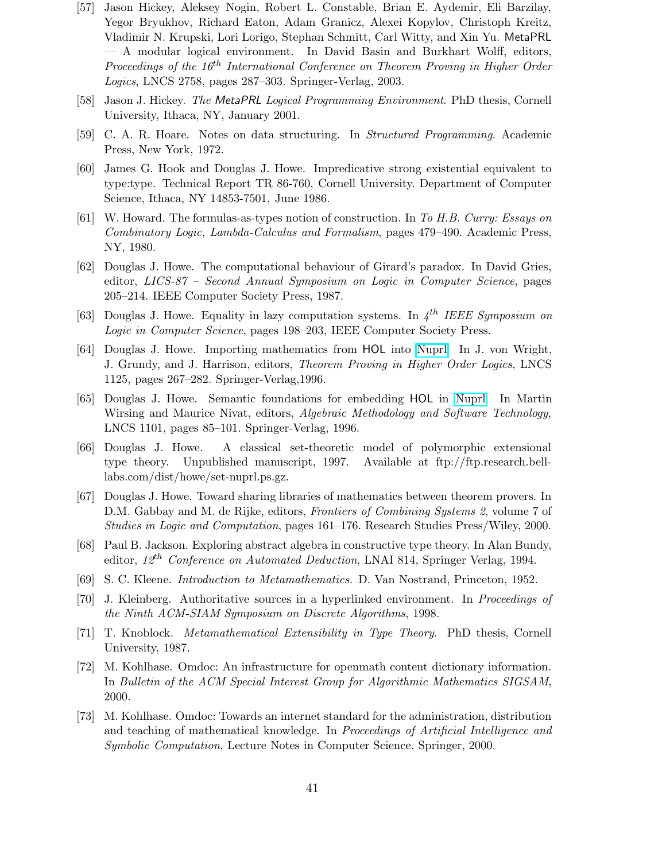- [57] Jason Hickey, Aleksey Nogin, Robert L. Constable, Brian E. Aydemir, Eli Barzilay, Yegor Bryukhov, Richard Eaton, Adam Granicz, Alexei Kopylov, Christoph Kreitz, Vladimir N. Krupski, Lori Lorigo, Stephan Schmitt, Carl Witty, and Xin Yu. MetaPRL — A modular logical environment. In David Basin and Burkhart Wolff, editors, Proceedings of the  $16^{th}$  International Conference on Theorem Proving in Higher Order Logics, LNCS 2758, pages 287–303. Springer-Verlag, 2003.
- [58] Jason J. Hickey. The MetaPRL Logical Programming Environment. PhD thesis, Cornell University, Ithaca, NY, January 2001.
- [59] C. A. R. Hoare. Notes on data structuring. In Structured Programming. Academic Press, New York, 1972.
- [60] James G. Hook and Douglas J. Howe. Impredicative strong existential equivalent to type:type. Technical Report TR 86-760, Cornell University. Department of Computer Science, Ithaca, NY 14853-7501, June 1986.
- [61] W. Howard. The formulas-as-types notion of construction. In To H.B. Curry: Essays on Combinatory Logic, Lambda-Calculus and Formalism, pages 479–490. Academic Press, NY, 1980.
- [62] Douglas J. Howe. The computational behaviour of Girard's paradox. In David Gries, editor, LICS-87 – Second Annual Symposium on Logic in Computer Science, pages 205–214. IEEE Computer Society Press, 1987.
- [63] Douglas J. Howe. Equality in lazy computation systems. In  $4^{th}$  IEEE Symposium on Logic in Computer Science, pages 198–203, IEEE Computer Society Press.
- [64] Douglas J. Howe. Importing mathematics from HOL into [Nuprl.](http://www.nuprl.org) In J. von Wright, J. Grundy, and J. Harrison, editors, Theorem Proving in Higher Order Logics, LNCS 1125, pages 267–282. Springer-Verlag,1996.
- [65] Douglas J. Howe. Semantic foundations for embedding HOL in [Nuprl.](http://www.nuprl.org) In Martin Wirsing and Maurice Nivat, editors, *Algebraic Methodology and Software Technology*, LNCS 1101, pages 85–101. Springer-Verlag, 1996.
- [66] Douglas J. Howe. A classical set-theoretic model of polymorphic extensional type theory. Unpublished manuscript, 1997. Available at ftp://ftp.research.belllabs.com/dist/howe/set-nuprl.ps.gz.
- [67] Douglas J. Howe. Toward sharing libraries of mathematics between theorem provers. In D.M. Gabbay and M. de Rijke, editors, *Frontiers of Combining Systems 2*, volume 7 of Studies in Logic and Computation, pages 161–176. Research Studies Press/Wiley, 2000.
- [68] Paul B. Jackson. Exploring abstract algebra in constructive type theory. In Alan Bundy, editor,  $12^{th}$  Conference on Automated Deduction, LNAI 814, Springer Verlag, 1994.
- [69] S. C. Kleene. Introduction to Metamathematics. D. Van Nostrand, Princeton, 1952.
- [70] J. Kleinberg. Authoritative sources in a hyperlinked environment. In Proceedings of the Ninth ACM-SIAM Symposium on Discrete Algorithms, 1998.
- [71] T. Knoblock. Metamathematical Extensibility in Type Theory. PhD thesis, Cornell University, 1987.
- [72] M. Kohlhase. Omdoc: An infrastructure for openmath content dictionary information. In Bulletin of the ACM Special Interest Group for Algorithmic Mathematics SIGSAM, 2000.
- [73] M. Kohlhase. Omdoc: Towards an internet standard for the administration, distribution and teaching of mathematical knowledge. In Proceedings of Artificial Intelligence and Symbolic Computation, Lecture Notes in Computer Science. Springer, 2000.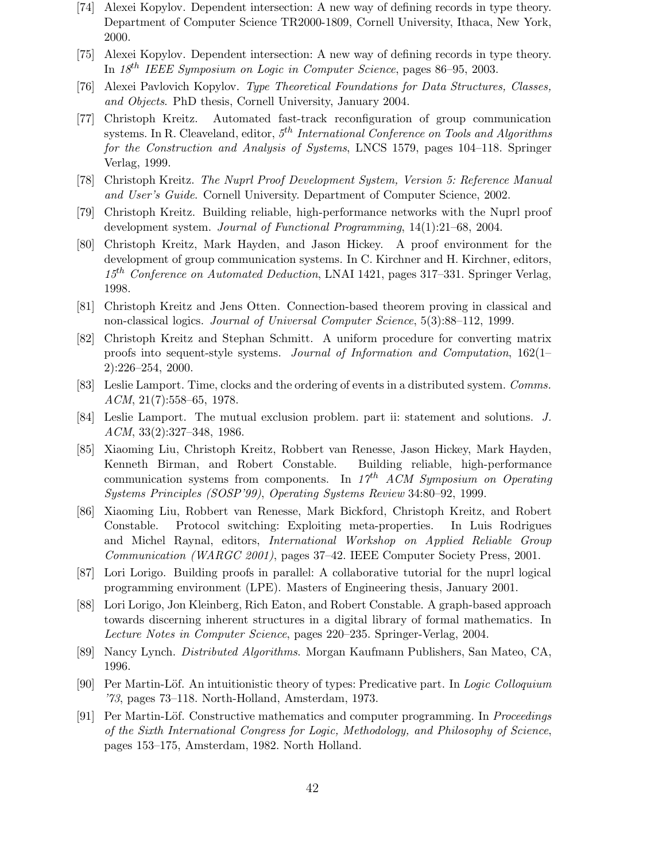- [74] Alexei Kopylov. Dependent intersection: A new way of defining records in type theory. Department of Computer Science TR2000-1809, Cornell University, Ithaca, New York, 2000.
- [75] Alexei Kopylov. Dependent intersection: A new way of defining records in type theory. In  $18^{th}$  IEEE Symposium on Logic in Computer Science, pages 86–95, 2003.
- [76] Alexei Pavlovich Kopylov. Type Theoretical Foundations for Data Structures, Classes, and Objects. PhD thesis, Cornell University, January 2004.
- [77] Christoph Kreitz. Automated fast-track reconfiguration of group communication systems. In R. Cleaveland, editor,  $5^{th}$  International Conference on Tools and Algorithms for the Construction and Analysis of Systems, LNCS 1579, pages 104–118. Springer Verlag, 1999.
- [78] Christoph Kreitz. The Nuprl Proof Development System, Version 5: Reference Manual and User's Guide. Cornell University. Department of Computer Science, 2002.
- [79] Christoph Kreitz. Building reliable, high-performance networks with the Nuprl proof development system. Journal of Functional Programming, 14(1):21–68, 2004.
- [80] Christoph Kreitz, Mark Hayden, and Jason Hickey. A proof environment for the development of group communication systems. In C. Kirchner and H. Kirchner, editors,  $15<sup>th</sup>$  Conference on Automated Deduction, LNAI 1421, pages 317–331. Springer Verlag, 1998.
- [81] Christoph Kreitz and Jens Otten. Connection-based theorem proving in classical and non-classical logics. Journal of Universal Computer Science, 5(3):88–112, 1999.
- [82] Christoph Kreitz and Stephan Schmitt. A uniform procedure for converting matrix proofs into sequent-style systems. Journal of Information and Computation, 162(1– 2):226–254, 2000.
- [83] Leslie Lamport. Time, clocks and the ordering of events in a distributed system. Comms.  $ACM$ ,  $21(7):558-65$ , 1978.
- [84] Leslie Lamport. The mutual exclusion problem. part ii: statement and solutions. J.  $ACM$ , 33(2):327–348, 1986.
- [85] Xiaoming Liu, Christoph Kreitz, Robbert van Renesse, Jason Hickey, Mark Hayden, Kenneth Birman, and Robert Constable. Building reliable, high-performance communication systems from components. In  $17<sup>th</sup>$  ACM Symposium on Operating Systems Principles (SOSP'99), Operating Systems Review 34:80–92, 1999.
- [86] Xiaoming Liu, Robbert van Renesse, Mark Bickford, Christoph Kreitz, and Robert Constable. Protocol switching: Exploiting meta-properties. In Luis Rodrigues and Michel Raynal, editors, International Workshop on Applied Reliable Group Communication (WARGC 2001), pages 37–42. IEEE Computer Society Press, 2001.
- [87] Lori Lorigo. Building proofs in parallel: A collaborative tutorial for the nuprl logical programming environment (LPE). Masters of Engineering thesis, January 2001.
- [88] Lori Lorigo, Jon Kleinberg, Rich Eaton, and Robert Constable. A graph-based approach towards discerning inherent structures in a digital library of formal mathematics. In Lecture Notes in Computer Science, pages 220–235. Springer-Verlag, 2004.
- [89] Nancy Lynch. Distributed Algorithms. Morgan Kaufmann Publishers, San Mateo, CA, 1996.
- [90] Per Martin-Löf. An intuitionistic theory of types: Predicative part. In Logic Colloquium '73, pages 73–118. North-Holland, Amsterdam, 1973.
- [91] Per Martin-Löf. Constructive mathematics and computer programming. In Proceedings of the Sixth International Congress for Logic, Methodology, and Philosophy of Science, pages 153–175, Amsterdam, 1982. North Holland.